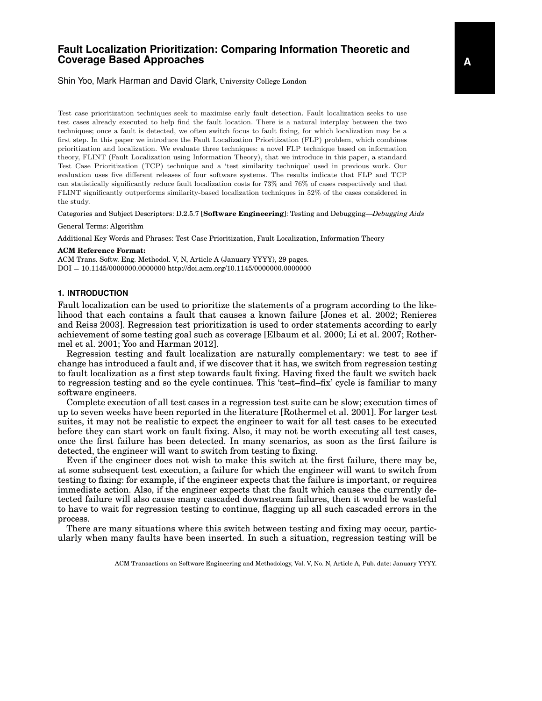# **Fault Localization Prioritization: Comparing Information Theoretic and Coverage Based Approaches**

Shin Yoo, Mark Harman and David Clark, University College London

Test case prioritization techniques seek to maximise early fault detection. Fault localization seeks to use test cases already executed to help find the fault location. There is a natural interplay between the two techniques; once a fault is detected, we often switch focus to fault fixing, for which localization may be a first step. In this paper we introduce the Fault Localization Prioritization (FLP) problem, which combines prioritization and localization. We evaluate three techniques: a novel FLP technique based on information theory, FLINT (Fault Localization using Information Theory), that we introduce in this paper, a standard Test Case Prioritization (TCP) technique and a 'test similarity technique' used in previous work. Our evaluation uses five different releases of four software systems. The results indicate that FLP and TCP can statistically significantly reduce fault localization costs for 73% and 76% of cases respectively and that FLINT significantly outperforms similarity-based localization techniques in 52% of the cases considered in the study.

Categories and Subject Descriptors: D.2.5.7 [**Software Engineering**]: Testing and Debugging—*Debugging Aids*

#### General Terms: Algorithm

Additional Key Words and Phrases: Test Case Prioritization, Fault Localization, Information Theory

#### **ACM Reference Format:**

ACM Trans. Softw. Eng. Methodol. V, N, Article A (January YYYY), 29 pages. DOI = 10.1145/0000000.0000000 http://doi.acm.org/10.1145/0000000.0000000

# **1. INTRODUCTION**

Fault localization can be used to prioritize the statements of a program according to the likelihood that each contains a fault that causes a known failure [Jones et al. 2002; Renieres and Reiss 2003]. Regression test prioritization is used to order statements according to early achievement of some testing goal such as coverage [Elbaum et al. 2000; Li et al. 2007; Rothermel et al. 2001; Yoo and Harman 2012].

Regression testing and fault localization are naturally complementary: we test to see if change has introduced a fault and, if we discover that it has, we switch from regression testing to fault localization as a first step towards fault fixing. Having fixed the fault we switch back to regression testing and so the cycle continues. This 'test–find–fix' cycle is familiar to many software engineers.

Complete execution of all test cases in a regression test suite can be slow; execution times of up to seven weeks have been reported in the literature [Rothermel et al. 2001]. For larger test suites, it may not be realistic to expect the engineer to wait for all test cases to be executed before they can start work on fault fixing. Also, it may not be worth executing all test cases, once the first failure has been detected. In many scenarios, as soon as the first failure is detected, the engineer will want to switch from testing to fixing.

Even if the engineer does not wish to make this switch at the first failure, there may be, at some subsequent test execution, a failure for which the engineer will want to switch from testing to fixing: for example, if the engineer expects that the failure is important, or requires immediate action. Also, if the engineer expects that the fault which causes the currently detected failure will also cause many cascaded downstream failures, then it would be wasteful to have to wait for regression testing to continue, flagging up all such cascaded errors in the process.

There are many situations where this switch between testing and fixing may occur, particularly when many faults have been inserted. In such a situation, regression testing will be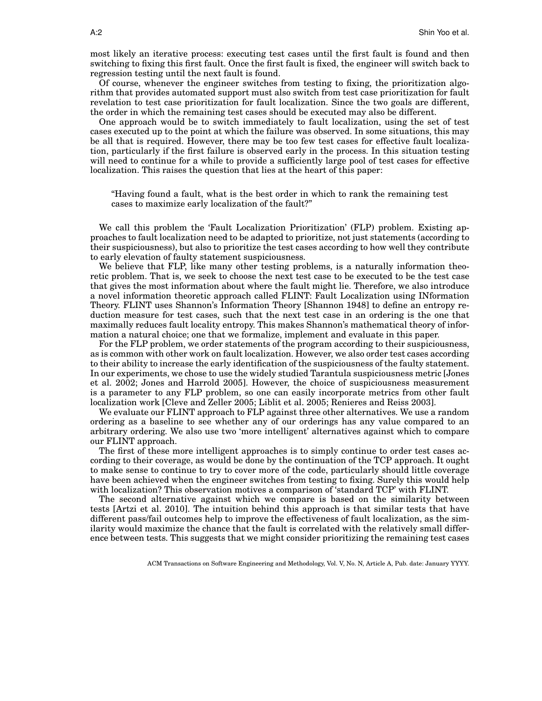most likely an iterative process: executing test cases until the first fault is found and then switching to fixing this first fault. Once the first fault is fixed, the engineer will switch back to regression testing until the next fault is found.

Of course, whenever the engineer switches from testing to fixing, the prioritization algorithm that provides automated support must also switch from test case prioritization for fault revelation to test case prioritization for fault localization. Since the two goals are different, the order in which the remaining test cases should be executed may also be different.

One approach would be to switch immediately to fault localization, using the set of test cases executed up to the point at which the failure was observed. In some situations, this may be all that is required. However, there may be too few test cases for effective fault localization, particularly if the first failure is observed early in the process. In this situation testing will need to continue for a while to provide a sufficiently large pool of test cases for effective localization. This raises the question that lies at the heart of this paper:

"Having found a fault, what is the best order in which to rank the remaining test cases to maximize early localization of the fault?"

We call this problem the 'Fault Localization Prioritization' (FLP) problem. Existing approaches to fault localization need to be adapted to prioritize, not just statements (according to their suspiciousness), but also to prioritize the test cases according to how well they contribute to early elevation of faulty statement suspiciousness.

We believe that FLP, like many other testing problems, is a naturally information theoretic problem. That is, we seek to choose the next test case to be executed to be the test case that gives the most information about where the fault might lie. Therefore, we also introduce a novel information theoretic approach called FLINT: Fault Localization using INformation Theory. FLINT uses Shannon's Information Theory [Shannon 1948] to define an entropy reduction measure for test cases, such that the next test case in an ordering is the one that maximally reduces fault locality entropy. This makes Shannon's mathematical theory of information a natural choice; one that we formalize, implement and evaluate in this paper.

For the FLP problem, we order statements of the program according to their suspiciousness, as is common with other work on fault localization. However, we also order test cases according to their ability to increase the early identification of the suspiciousness of the faulty statement. In our experiments, we chose to use the widely studied Tarantula suspiciousness metric [Jones et al. 2002; Jones and Harrold 2005]. However, the choice of suspiciousness measurement is a parameter to any FLP problem, so one can easily incorporate metrics from other fault localization work [Cleve and Zeller 2005; Liblit et al. 2005; Renieres and Reiss 2003].

We evaluate our FLINT approach to FLP against three other alternatives. We use a random ordering as a baseline to see whether any of our orderings has any value compared to an arbitrary ordering. We also use two 'more intelligent' alternatives against which to compare our FLINT approach.

The first of these more intelligent approaches is to simply continue to order test cases according to their coverage, as would be done by the continuation of the TCP approach. It ought to make sense to continue to try to cover more of the code, particularly should little coverage have been achieved when the engineer switches from testing to fixing. Surely this would help with localization? This observation motives a comparison of 'standard TCP' with FLINT.

The second alternative against which we compare is based on the similarity between tests [Artzi et al. 2010]. The intuition behind this approach is that similar tests that have different pass/fail outcomes help to improve the effectiveness of fault localization, as the similarity would maximize the chance that the fault is correlated with the relatively small difference between tests. This suggests that we might consider prioritizing the remaining test cases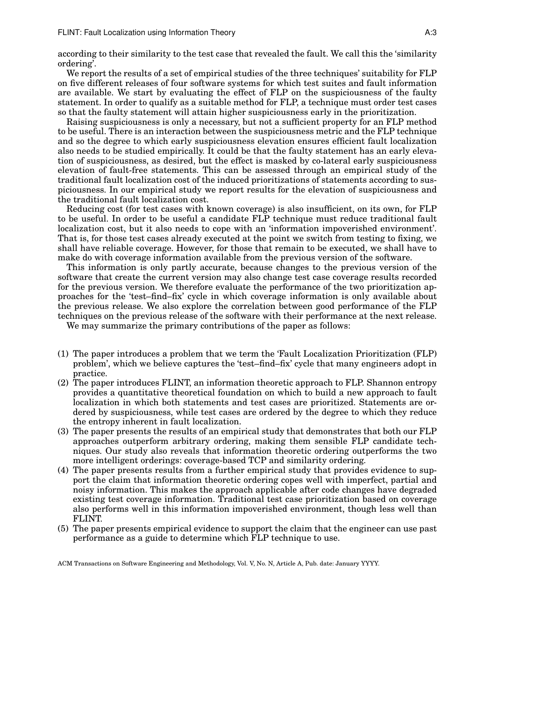according to their similarity to the test case that revealed the fault. We call this the 'similarity ordering'.

We report the results of a set of empirical studies of the three techniques' suitability for FLP on five different releases of four software systems for which test suites and fault information are available. We start by evaluating the effect of FLP on the suspiciousness of the faulty statement. In order to qualify as a suitable method for FLP, a technique must order test cases so that the faulty statement will attain higher suspiciousness early in the prioritization.

Raising suspiciousness is only a necessary, but not a sufficient property for an FLP method to be useful. There is an interaction between the suspiciousness metric and the FLP technique and so the degree to which early suspiciousness elevation ensures efficient fault localization also needs to be studied empirically. It could be that the faulty statement has an early elevation of suspiciousness, as desired, but the effect is masked by co-lateral early suspiciousness elevation of fault-free statements. This can be assessed through an empirical study of the traditional fault localization cost of the induced prioritizations of statements according to suspiciousness. In our empirical study we report results for the elevation of suspiciousness and the traditional fault localization cost.

Reducing cost (for test cases with known coverage) is also insufficient, on its own, for FLP to be useful. In order to be useful a candidate FLP technique must reduce traditional fault localization cost, but it also needs to cope with an 'information impoverished environment'. That is, for those test cases already executed at the point we switch from testing to fixing, we shall have reliable coverage. However, for those that remain to be executed, we shall have to make do with coverage information available from the previous version of the software.

This information is only partly accurate, because changes to the previous version of the software that create the current version may also change test case coverage results recorded for the previous version. We therefore evaluate the performance of the two prioritization approaches for the 'test–find–fix' cycle in which coverage information is only available about the previous release. We also explore the correlation between good performance of the FLP techniques on the previous release of the software with their performance at the next release.

We may summarize the primary contributions of the paper as follows:

- (1) The paper introduces a problem that we term the 'Fault Localization Prioritization (FLP) problem', which we believe captures the 'test–find–fix' cycle that many engineers adopt in practice.
- (2) The paper introduces FLINT, an information theoretic approach to FLP. Shannon entropy provides a quantitative theoretical foundation on which to build a new approach to fault localization in which both statements and test cases are prioritized. Statements are ordered by suspiciousness, while test cases are ordered by the degree to which they reduce the entropy inherent in fault localization.
- (3) The paper presents the results of an empirical study that demonstrates that both our FLP approaches outperform arbitrary ordering, making them sensible FLP candidate techniques. Our study also reveals that information theoretic ordering outperforms the two more intelligent orderings: coverage-based TCP and similarity ordering.
- (4) The paper presents results from a further empirical study that provides evidence to support the claim that information theoretic ordering copes well with imperfect, partial and noisy information. This makes the approach applicable after code changes have degraded existing test coverage information. Traditional test case prioritization based on coverage also performs well in this information impoverished environment, though less well than FLINT.
- (5) The paper presents empirical evidence to support the claim that the engineer can use past performance as a guide to determine which FLP technique to use.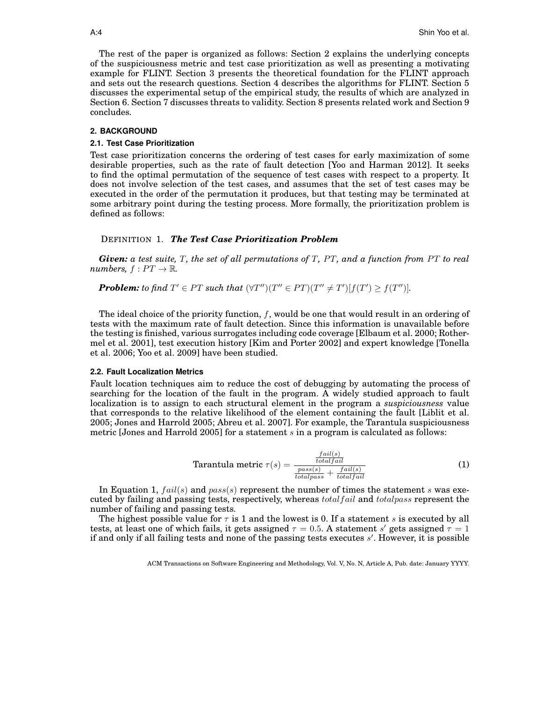The rest of the paper is organized as follows: Section 2 explains the underlying concepts of the suspiciousness metric and test case prioritization as well as presenting a motivating example for FLINT. Section 3 presents the theoretical foundation for the FLINT approach and sets out the research questions. Section 4 describes the algorithms for FLINT. Section 5 discusses the experimental setup of the empirical study, the results of which are analyzed in Section 6. Section 7 discusses threats to validity. Section 8 presents related work and Section 9 concludes.

# **2. BACKGROUND**

#### **2.1. Test Case Prioritization**

Test case prioritization concerns the ordering of test cases for early maximization of some desirable properties, such as the rate of fault detection [Yoo and Harman 2012]. It seeks to find the optimal permutation of the sequence of test cases with respect to a property. It does not involve selection of the test cases, and assumes that the set of test cases may be executed in the order of the permutation it produces, but that testing may be terminated at some arbitrary point during the testing process. More formally, the prioritization problem is defined as follows:

# DEFINITION 1. *The Test Case Prioritization Problem*

*Given: a test suite, T, the set of all permutations of T, PT, and a function from PT to real numbers,*  $f: PT \rightarrow \mathbb{R}$ .

**Problem:** to find  $T' \in PT$  such that  $(\forall T'')(T'' \in PT)(T'' \neq T')[f(T') \geq f(T'')].$ 

The ideal choice of the priority function,  $f$ , would be one that would result in an ordering of tests with the maximum rate of fault detection. Since this information is unavailable before the testing is finished, various surrogates including code coverage [Elbaum et al. 2000; Rothermel et al. 2001], test execution history [Kim and Porter 2002] and expert knowledge [Tonella et al. 2006; Yoo et al. 2009] have been studied.

## **2.2. Fault Localization Metrics**

Fault location techniques aim to reduce the cost of debugging by automating the process of searching for the location of the fault in the program. A widely studied approach to fault localization is to assign to each structural element in the program a *suspiciousness* value that corresponds to the relative likelihood of the element containing the fault [Liblit et al. 2005; Jones and Harrold 2005; Abreu et al. 2007]. For example, the Tarantula suspiciousness metric [Jones and Harrold 2005] for a statement  $s$  in a program is calculated as follows:

$$
\text{Tarantula metric } \tau(s) = \frac{\frac{fail(s)}{totalfail}}{\frac{pass(s)}{totalpass} + \frac{fail(s)}{totalfail}} \tag{1}
$$

In Equation 1,  $fail(s)$  and  $pass(s)$  represent the number of times the statement s was executed by failing and passing tests, respectively, whereas  $total fail$  and  $totalpass$  represent the number of failing and passing tests.

The highest possible value for  $\tau$  is 1 and the lowest is 0. If a statement s is executed by all tests, at least one of which fails, it gets assigned  $\tau = 0.5$ . A statement s' gets assigned  $\tau = 1$ if and only if all failing tests and none of the passing tests executes s'. However, it is possible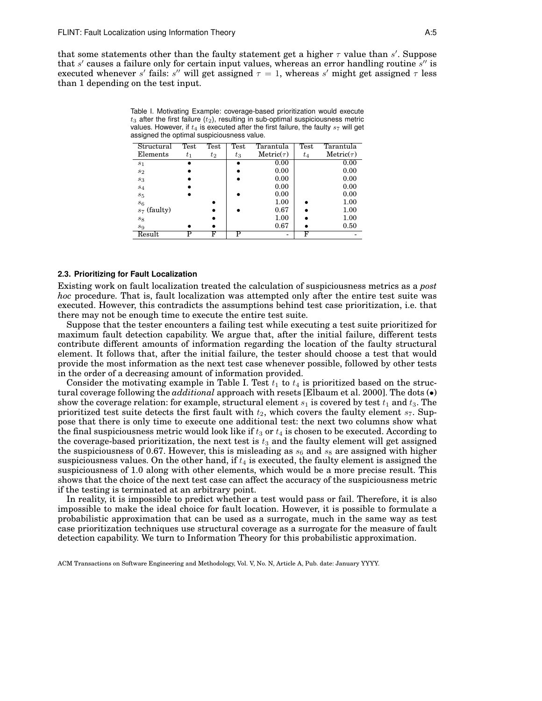that some statements other than the faulty statement get a higher  $\tau$  value than s'. Suppose that s' causes a failure only for certain input values, whereas an error handling routine  $s''$  is executed whenever s' fails: s'' will get assigned  $\tau = 1$ , whereas s' might get assigned  $\tau$  less than 1 depending on the test input.

Table I. Motivating Example: coverage-based prioritization would execute  $t_3$  after the first failure  $(t_2)$ , resulting in sub-optimal suspiciousness metric values. However, if  $t_4$  is executed after the first failure, the faulty  $s_7$  will get assigned the optimal suspiciousness value.

| Structural     | Test  | Test  | Test  | Tarantula                     | Test  | Tarantula       |
|----------------|-------|-------|-------|-------------------------------|-------|-----------------|
| Elements       | $t_1$ | $t_2$ | $t_3$ | $\operatorname{Metric}(\tau)$ | $t_4$ | Metric $(\tau)$ |
| $s_1$          |       |       |       | 0.00                          |       | 0.00            |
| s <sub>2</sub> |       |       |       | 0.00                          |       | 0.00            |
| $s_3$          |       |       |       | 0.00                          |       | 0.00            |
| $s_4$          |       |       |       | 0.00                          |       | 0.00            |
| $s_5$          |       |       |       | 0.00                          |       | 0.00            |
| $s_6$          |       |       |       | 1.00                          |       | 1.00            |
| $s_7$ (faulty) |       |       |       | 0.67                          |       | 1.00            |
| $s_8$          |       |       |       | 1.00                          |       | 1.00            |
| s <sub>9</sub> |       |       |       | 0.67                          |       | 0.50            |
| Result         | р     | F     | р     |                               | F     |                 |

## **2.3. Prioritizing for Fault Localization**

Existing work on fault localization treated the calculation of suspiciousness metrics as a *post hoc* procedure. That is, fault localization was attempted only after the entire test suite was executed. However, this contradicts the assumptions behind test case prioritization, i.e. that there may not be enough time to execute the entire test suite.

Suppose that the tester encounters a failing test while executing a test suite prioritized for maximum fault detection capability. We argue that, after the initial failure, different tests contribute different amounts of information regarding the location of the faulty structural element. It follows that, after the initial failure, the tester should choose a test that would provide the most information as the next test case whenever possible, followed by other tests in the order of a decreasing amount of information provided.

Consider the motivating example in Table I. Test  $t_1$  to  $t_4$  is prioritized based on the structural coverage following the *additional* approach with resets [Elbaum et al. 2000]. The dots (•) show the coverage relation: for example, structural element  $s_1$  is covered by test  $t_1$  and  $t_3$ . The prioritized test suite detects the first fault with  $t_2$ , which covers the faulty element  $s_7$ . Suppose that there is only time to execute one additional test: the next two columns show what the final suspiciousness metric would look like if  $t_3$  or  $t_4$  is chosen to be executed. According to the coverage-based prioritization, the next test is  $t_3$  and the faulty element will get assigned the suspiciousness of 0.67. However, this is misleading as  $s_6$  and  $s_8$  are assigned with higher suspiciousness values. On the other hand, if  $t_4$  is executed, the faulty element is assigned the suspiciousness of 1.0 along with other elements, which would be a more precise result. This shows that the choice of the next test case can affect the accuracy of the suspiciousness metric if the testing is terminated at an arbitrary point.

In reality, it is impossible to predict whether a test would pass or fail. Therefore, it is also impossible to make the ideal choice for fault location. However, it is possible to formulate a probabilistic approximation that can be used as a surrogate, much in the same way as test case prioritization techniques use structural coverage as a surrogate for the measure of fault detection capability. We turn to Information Theory for this probabilistic approximation.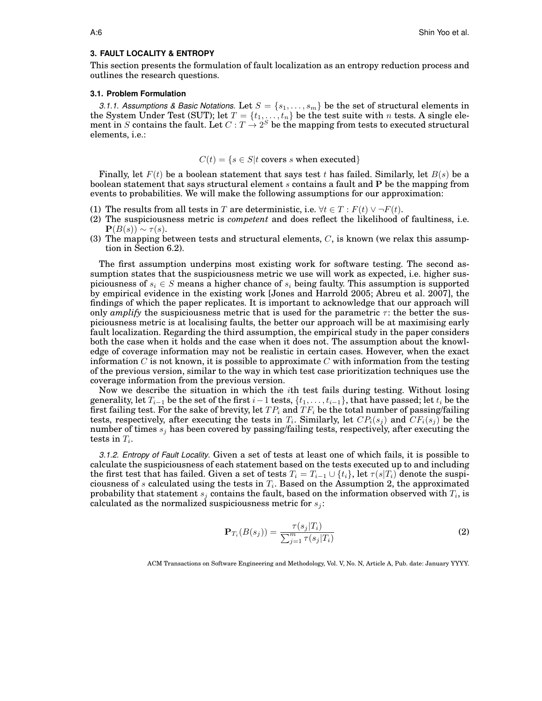#### **3. FAULT LOCALITY & ENTROPY**

This section presents the formulation of fault localization as an entropy reduction process and outlines the research questions.

## **3.1. Problem Formulation**

*3.1.1. Assumptions & Basic Notations.* Let  $S = \{s_1, \ldots, s_m\}$  be the set of structural elements in the System Under Test (SUT); let  $T = \{t_1, \ldots, t_n\}$  be the test suite with n tests. A single element in S contains the fault. Let  $C: T \rightarrow 2^S$  be the mapping from tests to executed structural elements, i.e.:

# $C(t) = \{s \in S | t \text{ covers } s \text{ when executed}\}$

Finally, let  $F(t)$  be a boolean statement that says test t has failed. Similarly, let  $B(s)$  be a boolean statement that says structural element s contains a fault and P be the mapping from events to probabilities. We will make the following assumptions for our approximation:

- (1) The results from all tests in T are deterministic, i.e.  $\forall t \in T : F(t) \vee \neg F(t)$ .
- (2) The suspiciousness metric is *competent* and does reflect the likelihood of faultiness, i.e.  $\mathbf{P}(B(s)) \sim \tau(s)$ .
- (3) The mapping between tests and structural elements,  $C$ , is known (we relax this assumption in Section 6.2).

The first assumption underpins most existing work for software testing. The second assumption states that the suspiciousness metric we use will work as expected, i.e. higher suspiciousness of  $s_i \in S$  means a higher chance of  $s_i$  being faulty. This assumption is supported by empirical evidence in the existing work [Jones and Harrold 2005; Abreu et al. 2007], the findings of which the paper replicates. It is important to acknowledge that our approach will only *amplify* the suspiciousness metric that is used for the parametric  $\tau$ : the better the suspiciousness metric is at localising faults, the better our approach will be at maximising early fault localization. Regarding the third assumption, the empirical study in the paper considers both the case when it holds and the case when it does not. The assumption about the knowledge of coverage information may not be realistic in certain cases. However, when the exact information C is not known, it is possible to approximate C with information from the testing of the previous version, similar to the way in which test case prioritization techniques use the coverage information from the previous version.

Now we describe the situation in which the ith test fails during testing. Without losing generality, let  $T_{i-1}$  be the set of the first  $i-1$  tests,  $\{t_1, \ldots, t_{i-1}\}$ , that have passed; let  $t_i$  be the first failing test. For the sake of brevity, let  $TP_i$  and  $TF_i$  be the total number of passing/failing tests, respectively, after executing the tests in  $T_i$ . Similarly, let  $CP_i(s_j)$  and  $CF_i(s_j)$  be the number of times  $s_i$  has been covered by passing/failing tests, respectively, after executing the tests in  $T_i$ .

*3.1.2. Entropy of Fault Locality.* Given a set of tests at least one of which fails, it is possible to calculate the suspiciousness of each statement based on the tests executed up to and including the first test that has failed. Given a set of tests  $T_i = T_{i-1} \cup \{t_i\}$ , let  $\tau(s|T_i)$  denote the suspiciousness of s calculated using the tests in  $T_i$ . Based on the Assumption 2, the approximated probability that statement  $s_j$  contains the fault, based on the information observed with  $T_i$ , is calculated as the normalized suspiciousness metric for  $s_i$ :

$$
\mathbf{P}_{T_i}(B(s_j)) = \frac{\tau(s_j|T_i)}{\sum_{j=1}^m \tau(s_j|T_i)}\tag{2}
$$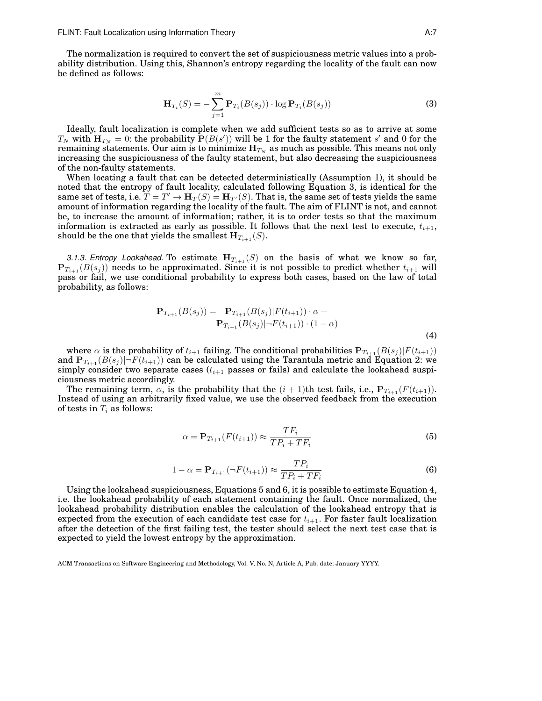The normalization is required to convert the set of suspiciousness metric values into a probability distribution. Using this, Shannon's entropy regarding the locality of the fault can now be defined as follows:

$$
\mathbf{H}_{T_i}(S) = -\sum_{j=1}^m \mathbf{P}_{T_i}(B(s_j)) \cdot \log \mathbf{P}_{T_i}(B(s_j))
$$
\n(3)

Ideally, fault localization is complete when we add sufficient tests so as to arrive at some  $T_N$  with  ${\bf H}_{T_N}=0$ : the probability  ${\bf P}(B(s'))$  will be  $1$  for the faulty statement  $s'$  and  $0$  for the remaining statements. Our aim is to minimize  $\mathbf{H}_{T_N}$  as much as possible. This means not only increasing the suspiciousness of the faulty statement, but also decreasing the suspiciousness of the non-faulty statements.

When locating a fault that can be detected deterministically (Assumption 1), it should be noted that the entropy of fault locality, calculated following Equation 3, is identical for the same set of tests, i.e.  $T = T' \rightarrow H_T(S) = H_{T'}(S)$ . That is, the same set of tests yields the same amount of information regarding the locality of the fault. The aim of FLINT is not, and cannot be, to increase the amount of information; rather, it is to order tests so that the maximum information is extracted as early as possible. It follows that the next test to execute,  $t_{i+1}$ , should be the one that yields the smallest  $H_{T_{i+1}}(S)$ .

*3.1.3. Entropy Lookahead.* To estimate  $\mathbf{H}_{T_{i+1}}(S)$  on the basis of what we know so far,  ${\bf P}_{T_{i+1}}(B(s_i))$  needs to be approximated. Since it is not possible to predict whether  $t_{i+1}$  will pass or fail, we use conditional probability to express both cases, based on the law of total probability, as follows:

$$
\mathbf{P}_{T_{i+1}}(B(s_j)) = \mathbf{P}_{T_{i+1}}(B(s_j)|F(t_{i+1})) \cdot \alpha + \n\mathbf{P}_{T_{i+1}}(B(s_j)|\neg F(t_{i+1})) \cdot (1-\alpha)
$$
\n(4)

where  $\alpha$  is the probability of  $t_{i+1}$  failing. The conditional probabilities  $P_{T_{i+1}}(B(s_j)|F(t_{i+1}))$ and  $P_{T_{i+1}}(B(s_i)) - F(t_{i+1})$  can be calculated using the Tarantula metric and Equation 2: we simply consider two separate cases  $(t_{i+1}$  passes or fails) and calculate the lookahead suspiciousness metric accordingly.

The remaining term,  $\alpha$ , is the probability that the  $(i + 1)$ th test fails, i.e.,  $P_{T_{i+1}}(F(t_{i+1}))$ . Instead of using an arbitrarily fixed value, we use the observed feedback from the execution of tests in  $T_i$  as follows:

$$
\alpha = \mathbf{P}_{T_{i+1}}(F(t_{i+1})) \approx \frac{TF_i}{TP_i + TF_i} \tag{5}
$$

$$
1 - \alpha = \mathbf{P}_{T_{i+1}}(\neg F(t_{i+1})) \approx \frac{TP_i}{TP_i + TF_i}
$$
\n
$$
(6)
$$

Using the lookahead suspiciousness, Equations 5 and 6, it is possible to estimate Equation 4, i.e. the lookahead probability of each statement containing the fault. Once normalized, the lookahead probability distribution enables the calculation of the lookahead entropy that is expected from the execution of each candidate test case for  $t_{i+1}$ . For faster fault localization after the detection of the first failing test, the tester should select the next test case that is expected to yield the lowest entropy by the approximation.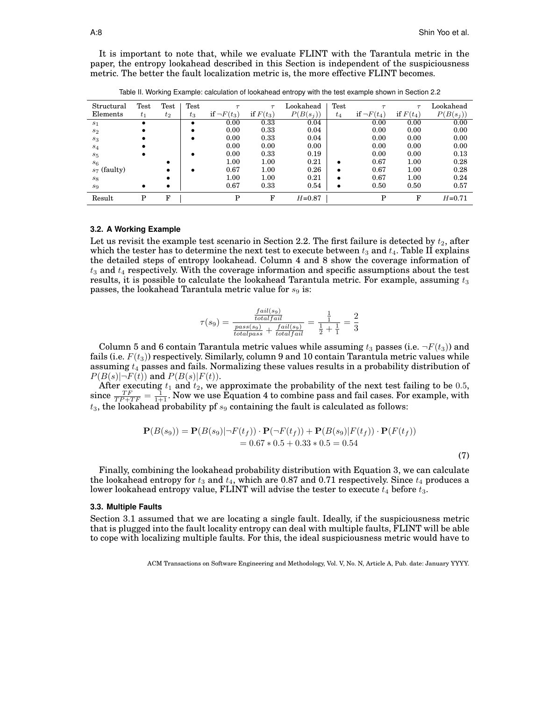It is important to note that, while we evaluate FLINT with the Tarantula metric in the paper, the entropy lookahead described in this Section is independent of the suspiciousness metric. The better the fault localization metric is, the more effective FLINT becomes.

| Structural     | $\operatorname{\mathrm{Test}}$ | $\operatorname{\mathrm{Test}}$ | $\operatorname{\mathrm{Test}}$ |                  | $\tau$      | Lookahead   | Test      |                  | $\tau$      | Lookahead   |
|----------------|--------------------------------|--------------------------------|--------------------------------|------------------|-------------|-------------|-----------|------------------|-------------|-------------|
| Elements       | $t_1$                          | $t_2$                          | $t_3$                          | if $\neg F(t_3)$ | if $F(t_3)$ | $P(B(s_i))$ | $t_4$     | if $\neg F(t_4)$ | if $F(t_4)$ | $P(B(s_j))$ |
| s <sub>1</sub> | $\bullet$                      |                                | $\bullet$                      | 0.00             | 0.33        | 0.04        |           | 0.00             | 0.00        | 0.00        |
| s <sub>2</sub> |                                |                                | ٠                              | 0.00             | 0.33        | 0.04        |           | 0.00             | 0.00        | 0.00        |
| $s_3$          |                                |                                | $\bullet$                      | 0.00             | 0.33        | 0.04        |           | 0.00             | 0.00        | 0.00        |
| $s_4$          |                                |                                |                                | 0.00             | 0.00        | 0.00        |           | 0.00             | 0.00        | 0.00        |
| $s_5$          |                                |                                | ٠                              | 0.00             | 0.33        | 0.19        |           | 0.00             | 0.00        | 0.13        |
| s <sub>6</sub> |                                |                                |                                | 1.00             | 1.00        | 0.21        |           | 0.67             | 1.00        | 0.28        |
| $s_7$ (faulty) |                                | ٠                              | ٠                              | 0.67             | 1.00        | 0.26        | $\bullet$ | 0.67             | 1.00        | 0.28        |
| $s_{8}$        |                                | ٠                              |                                | 1.00             | 1.00        | 0.21        | ٠         | 0.67             | 1.00        | 0.24        |
| $s_9$          | ٠                              | ٠                              |                                | 0.67             | 0.33        | 0.54        |           | 0.50             | 0.50        | 0.57        |
| Result         | P                              | F                              |                                | P                | F           | $H = 0.87$  |           | P                | F           | $H = 0.71$  |

Table II. Working Example: calculation of lookahead entropy with the test example shown in Section 2.2

#### **3.2. A Working Example**

Let us revisit the example test scenario in Section 2.2. The first failure is detected by  $t_2$ , after which the tester has to determine the next test to execute between  $t_3$  and  $t_4$ . Table II explains the detailed steps of entropy lookahead. Column 4 and 8 show the coverage information of  $t_3$  and  $t_4$  respectively. With the coverage information and specific assumptions about the test results, it is possible to calculate the lookahead Tarantula metric. For example, assuming  $t_3$ passes, the lookahead Tarantula metric value for  $s_9$  is:

$$
\tau(s_9) = \frac{\frac{fail(s_9)}{totalfail}}{\frac{pass(s_9)}{totalpass} + \frac{fail(s_9)}{totalfail}} = \frac{\frac{1}{1}}{\frac{1}{2} + \frac{1}{1}} = \frac{2}{3}
$$

Column 5 and 6 contain Tarantula metric values while assuming  $t_3$  passes (i.e.  $\neg F(t_3)$ ) and fails (i.e.  $F(t_3)$ ) respectively. Similarly, column 9 and 10 contain Tarantula metric values while assuming  $t_4$  passes and fails. Normalizing these values results in a probability distribution of  $P(B(s)|\neg F(t))$  and  $P(B(s)|F(t))$ .

After executing  $t_1$  and  $t_2$ , we approximate the probability of the next test failing to be 0.5, since  $\frac{TF}{TP+TF} = \frac{1}{1+1}$ . Now we use Equation 4 to combine pass and fail cases. For example, with  $t_3$ , the lookahead probability pf  $s_9$  containing the fault is calculated as follows:

$$
\mathbf{P}(B(s_9)) = \mathbf{P}(B(s_9)|\neg F(t_f)) \cdot \mathbf{P}(\neg F(t_f)) + \mathbf{P}(B(s_9)|F(t_f)) \cdot \mathbf{P}(F(t_f))
$$
  
= 0.67 \* 0.5 + 0.33 \* 0.5 = 0.54 (7)

Finally, combining the lookahead probability distribution with Equation 3, we can calculate the lookahead entropy for  $t_3$  and  $t_4$ , which are 0.87 and 0.71 respectively. Since  $t_4$  produces a lower lookahead entropy value, FLINT will advise the tester to execute  $t_4$  before  $t_3$ .

#### **3.3. Multiple Faults**

Section 3.1 assumed that we are locating a single fault. Ideally, if the suspiciousness metric that is plugged into the fault locality entropy can deal with multiple faults, FLINT will be able to cope with localizing multiple faults. For this, the ideal suspiciousness metric would have to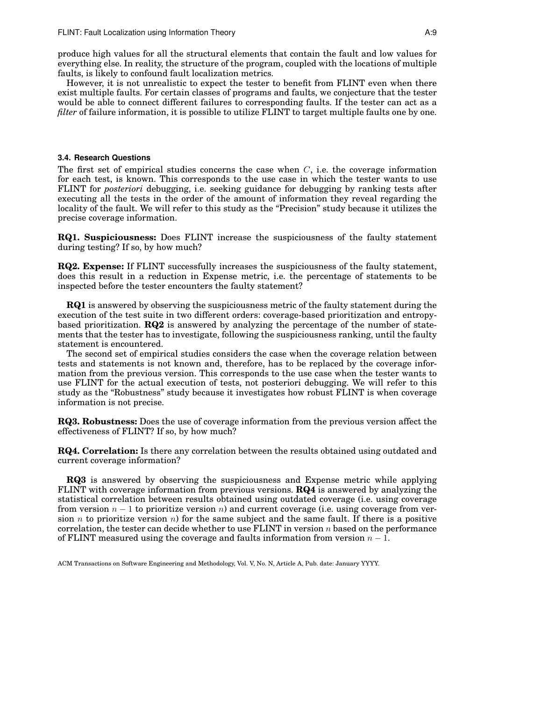produce high values for all the structural elements that contain the fault and low values for everything else. In reality, the structure of the program, coupled with the locations of multiple faults, is likely to confound fault localization metrics.

However, it is not unrealistic to expect the tester to benefit from FLINT even when there exist multiple faults. For certain classes of programs and faults, we conjecture that the tester would be able to connect different failures to corresponding faults. If the tester can act as a *filter* of failure information, it is possible to utilize FLINT to target multiple faults one by one.

#### **3.4. Research Questions**

The first set of empirical studies concerns the case when  $C$ , i.e. the coverage information for each test, is known. This corresponds to the use case in which the tester wants to use FLINT for *posteriori* debugging, i.e. seeking guidance for debugging by ranking tests after executing all the tests in the order of the amount of information they reveal regarding the locality of the fault. We will refer to this study as the "Precision" study because it utilizes the precise coverage information.

**RQ1. Suspiciousness:** Does FLINT increase the suspiciousness of the faulty statement during testing? If so, by how much?

**RQ2. Expense:** If FLINT successfully increases the suspiciousness of the faulty statement, does this result in a reduction in Expense metric, i.e. the percentage of statements to be inspected before the tester encounters the faulty statement?

**RQ1** is answered by observing the suspiciousness metric of the faulty statement during the execution of the test suite in two different orders: coverage-based prioritization and entropybased prioritization. **RQ2** is answered by analyzing the percentage of the number of statements that the tester has to investigate, following the suspiciousness ranking, until the faulty statement is encountered.

The second set of empirical studies considers the case when the coverage relation between tests and statements is not known and, therefore, has to be replaced by the coverage information from the previous version. This corresponds to the use case when the tester wants to use FLINT for the actual execution of tests, not posteriori debugging. We will refer to this study as the "Robustness" study because it investigates how robust FLINT is when coverage information is not precise.

**RQ3. Robustness:** Does the use of coverage information from the previous version affect the effectiveness of FLINT? If so, by how much?

**RQ4. Correlation:** Is there any correlation between the results obtained using outdated and current coverage information?

**RQ3** is answered by observing the suspiciousness and Expense metric while applying FLINT with coverage information from previous versions. **RQ4** is answered by analyzing the statistical correlation between results obtained using outdated coverage (i.e. using coverage from version  $n-1$  to prioritize version n) and current coverage (i.e. using coverage from version n to prioritize version n) for the same subject and the same fault. If there is a positive correlation, the tester can decide whether to use  $FLINT$  in version n based on the performance of FLINT measured using the coverage and faults information from version  $n-1$ .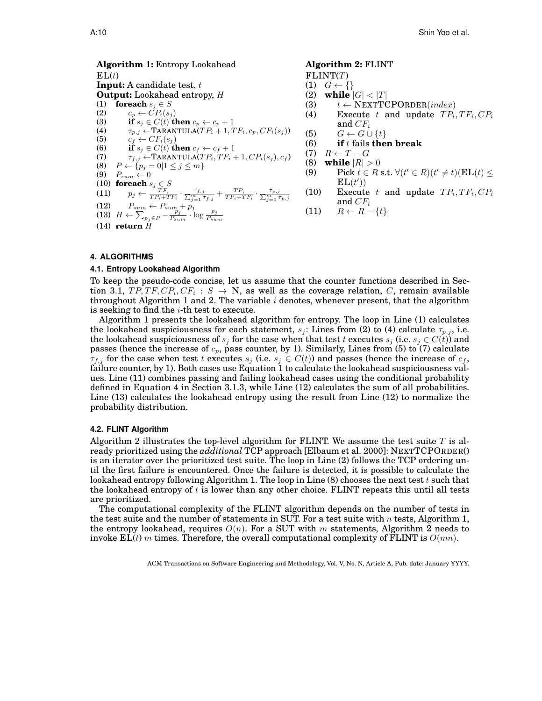**Algorithm 1:** Entropy Lookahead  $EL(t)$ **Input:** A candidate test, t **Output:** Lookahead entropy, H (1) **foreach**  $s_j \in S$ (2)  $c_p \leftarrow CP_i(s_j)$ <br>
(3) if  $s_i \in C(t)$  t **if**  $s_j \in C(t)$  **then**  $c_p \leftarrow c_p + 1$ (4)  $\tau_{p,j} \leftarrow \text{TARANTULA}(TP_i + 1, TF_i, c_p, CF_i(s_j))$ (5)  $c_f \leftarrow CF_i(s_j)$ <br>(6) if  $s_i \in C(t)$  tl (6) **if**  $s_j \in C(t)$  **then**  $c_f \leftarrow c_f + 1$ <br>(7)  $\tau_{f,j} \leftarrow \text{TRANSTULA}(TP_i, TF_i + 1)$  $\tau_{f,j} \leftarrow \text{TARANTULA}(TP_i, TF_i + 1, CP_i(s_j), c_f)$ (8)  $P \leftarrow \{p_j = 0 | 1 \leq j \leq m\}$ (9)  $P_{sum} \leftarrow 0$ (10) **foreach**  $s_j \in S$ (11)  $p_j \leftarrow \frac{{\tau {F_i}}}{{T P_i + T F_i}} \cdot \frac{{\tau {f,j}}}{\sum_{j=1}^m {\tau {f,j}}} + \frac{{T P_i}}{{T P_i + T F_i}} \cdot \frac{{\tau {p,j}}}{\sum_{j=1}^m {\tau {p,j}}}$ (12)  $P_{sum} \leftarrow P_{sum} + p_j$ (13)  $H \leftarrow \sum_{p_j \in P}^{\infty} -\frac{p_j}{P_{sum}} \cdot \log \frac{p_j}{P_{sum}}$ (14) **return** H **Algorithm 2:** FLINT  $FLINT(T)$ (1)  $G \leftarrow \{\}$ (2) **while**  $|G| < |T|$ (3)  $t \leftarrow \text{NEXTTCPORDER}(index)$ (4) Execute t and update  $TP_i, TF_i, CP_i$ and  $CF_i$ (5)  $G \leftarrow G \cup \{t\}$ (6) **if** t fails **then break**  $(T)$   $R \leftarrow T - G$ (8) **while**  $|R| > 0$ (9) Pick  $t \in R$  s.t.  $\forall (t' \in R)(t' \neq t)(\mathbf{EL}(t) \leq t)$  $EL(t')$ (10) Execute t and update  $TP_i, TF_i, CP_i$ and  $CF_i$ (11)  $R \leftarrow R - \{t\}$ 

# **4. ALGORITHMS**

## **4.1. Entropy Lookahead Algorithm**

To keep the pseudo-code concise, let us assume that the counter functions described in Section 3.1,  $TP, TF, CP_i, CF_i : S \rightarrow \mathbb{N}$ , as well as the coverage relation, C, remain available throughout Algorithm 1 and 2. The variable  $i$  denotes, whenever present, that the algorithm is seeking to find the  $i$ -th test to execute.

Algorithm 1 presents the lookahead algorithm for entropy. The loop in Line (1) calculates the lookahead suspiciousness for each statement,  $s_j$ : Lines from (2) to (4) calculate  $\tau_{p,j}$ , i.e. the lookahead suspiciousness of  $s_j$  for the case when that test t executes  $s_j$  (i.e.  $s_j \in C(t)$ ) and passes (hence the increase of  $c_p$ , pass counter, by 1). Similarly, Lines from (5) to (7) calculate  $\tau_{f,j}$  for the case when test t executes  $s_j$  (i.e.  $s_j \in C(t)$ ) and passes (hence the increase of  $c_f$ , failure counter, by 1). Both cases use Equation 1 to calculate the lookahead suspiciousness values. Line (11) combines passing and failing lookahead cases using the conditional probability defined in Equation 4 in Section 3.1.3, while Line (12) calculates the sum of all probabilities. Line (13) calculates the lookahead entropy using the result from Line (12) to normalize the probability distribution.

#### **4.2. FLINT Algorithm**

Algorithm 2 illustrates the top-level algorithm for FLINT. We assume the test suite  $T$  is already prioritized using the *additional* TCP approach [Elbaum et al. 2000]: NEXTTCPORDER() is an iterator over the prioritized test suite. The loop in Line (2) follows the TCP ordering until the first failure is encountered. Once the failure is detected, it is possible to calculate the lookahead entropy following Algorithm 1. The loop in Line  $(8)$  chooses the next test t such that the lookahead entropy of  $t$  is lower than any other choice. FLINT repeats this until all tests are prioritized.

The computational complexity of the FLINT algorithm depends on the number of tests in the test suite and the number of statements in SUT. For a test suite with n tests, Algorithm 1, the entropy lookahead, requires  $O(n)$ . For a SUT with m statements, Algorithm 2 needs to invoke  $EL(t)$  m times. Therefore, the overall computational complexity of FLINT is  $O(mn)$ .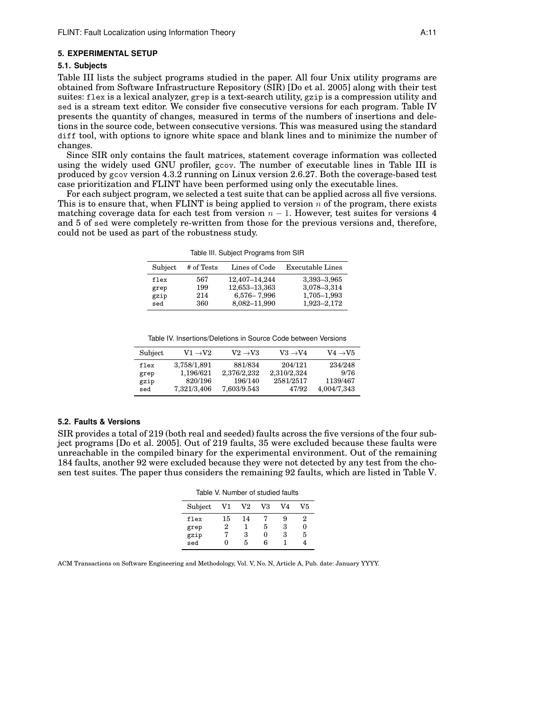#### **5. EXPERIMENTAL SETUP**

#### **5.1. Subjects**

Table III lists the subject programs studied in the paper. All four Unix utility programs are obtained from Software Infrastructure Repository (SIR) [Do et al. 2005] along with their test suites: flex is a lexical analyzer, grep is a text-search utility, gzip is a compression utility and sed is a stream text editor. We consider five consecutive versions for each program. Table IV presents the quantity of changes, measured in terms of the numbers of insertions and deletions in the source code, between consecutive versions. This was measured using the standard diff tool, with options to ignore white space and blank lines and to minimize the number of changes.

Since SIR only contains the fault matrices, statement coverage information was collected using the widely used GNU profiler, gcov. The number of executable lines in Table III is produced by gcov version 4.3.2 running on Linux version 2.6.27. Both the coverage-based test case prioritization and FLINT have been performed using only the executable lines.

For each subject program, we selected a test suite that can be applied across all five versions. This is to ensure that, when FLINT is being applied to version  $n$  of the program, there exists matching coverage data for each test from version  $n - 1$ . However, test suites for versions 4 and 5 of sed were completely re-written from those for the previous versions and, therefore, could not be used as part of the robustness study.

Table III. Subject Programs from SIR

| Subject | # of Tests | Lines of Code | Executable Lines |
|---------|------------|---------------|------------------|
| flex    | 567        | 12,407-14,244 | 3,393-3,965      |
| grep    | 199        | 12,653-13,363 | 3,078-3,314      |
| gzip    | 214        | 6,576 - 7,996 | 1,705-1,993      |
| sed     | 360        | 8,082-11,990  | 1,923-2,172      |

Table IV. Insertions/Deletions in Source Code between Versions

| Subject | $V1 \rightarrow V2$ | $V2 \rightarrow V3$ | $V3 \rightarrow V4$ | $V4 \rightarrow V5$ |
|---------|---------------------|---------------------|---------------------|---------------------|
| flex    | 3.758/1.891         | 881/834             | 204/121             | 234/248             |
| grep    | 1.196/621           | 2.376/2.232         | 2,310/2,324         | 9/76                |
| gzip    | 820/196             | 196/140             | 2581/2517           | 1139/467            |
| sed     | 7,321/3,406         | 7.603/9.543         | 47/92               | 4.004/7.343         |

# **5.2. Faults & Versions**

SIR provides a total of 219 (both real and seeded) faults across the five versions of the four subject programs [Do et al. 2005]. Out of 219 faults, 35 were excluded because these faults were unreachable in the compiled binary for the experimental environment. Out of the remaining 184 faults, another 92 were excluded because they were not detected by any test from the chosen test suites. The paper thus considers the remaining 92 faults, which are listed in Table V.

Table V. Number of studied faults

| Subject     | V1 | $_{\rm V2}$ | V3     | V4 | V5 |
|-------------|----|-------------|--------|----|----|
| flex        | 15 | 14          |        | 9  | 2  |
| grep        | 2  |             | 5      | 3  | 0  |
| gzip<br>sed | 0  | 3<br>5      | 0<br>հ | 3  | 5  |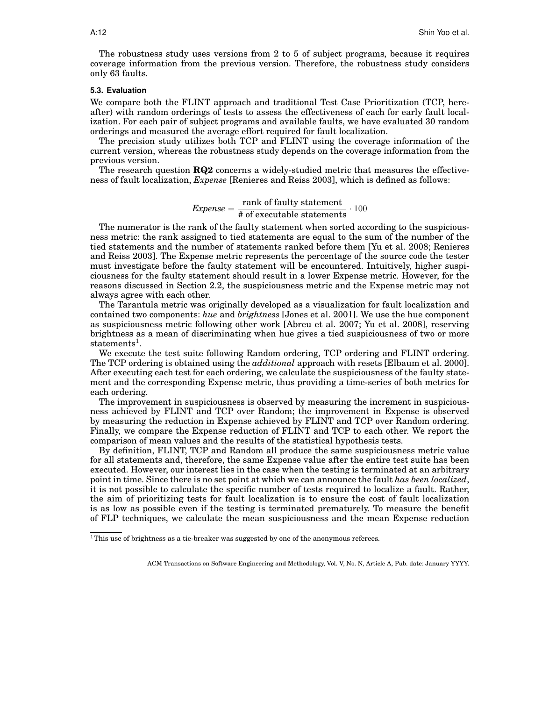The robustness study uses versions from 2 to 5 of subject programs, because it requires coverage information from the previous version. Therefore, the robustness study considers only 63 faults.

#### **5.3. Evaluation**

We compare both the FLINT approach and traditional Test Case Prioritization (TCP, hereafter) with random orderings of tests to assess the effectiveness of each for early fault localization. For each pair of subject programs and available faults, we have evaluated 30 random orderings and measured the average effort required for fault localization.

The precision study utilizes both TCP and FLINT using the coverage information of the current version, whereas the robustness study depends on the coverage information from the previous version.

The research question **RQ2** concerns a widely-studied metric that measures the effectiveness of fault localization, *Expense* [Renieres and Reiss 2003], which is defined as follows:

*Express* = 
$$
\frac{\text{rank of faulty statement}}{\text{\# of executable statements}} \cdot 100
$$

The numerator is the rank of the faulty statement when sorted according to the suspiciousness metric: the rank assigned to tied statements are equal to the sum of the number of the tied statements and the number of statements ranked before them [Yu et al. 2008; Renieres and Reiss 2003]. The Expense metric represents the percentage of the source code the tester must investigate before the faulty statement will be encountered. Intuitively, higher suspiciousness for the faulty statement should result in a lower Expense metric. However, for the reasons discussed in Section 2.2, the suspiciousness metric and the Expense metric may not always agree with each other.

The Tarantula metric was originally developed as a visualization for fault localization and contained two components: *hue* and *brightness* [Jones et al. 2001]. We use the hue component as suspiciousness metric following other work [Abreu et al. 2007; Yu et al. 2008], reserving brightness as a mean of discriminating when hue gives a tied suspiciousness of two or more statements<sup>1</sup>.

We execute the test suite following Random ordering, TCP ordering and FLINT ordering. The TCP ordering is obtained using the *additional* approach with resets [Elbaum et al. 2000]. After executing each test for each ordering, we calculate the suspiciousness of the faulty statement and the corresponding Expense metric, thus providing a time-series of both metrics for each ordering.

The improvement in suspiciousness is observed by measuring the increment in suspiciousness achieved by FLINT and TCP over Random; the improvement in Expense is observed by measuring the reduction in Expense achieved by FLINT and TCP over Random ordering. Finally, we compare the Expense reduction of FLINT and TCP to each other. We report the comparison of mean values and the results of the statistical hypothesis tests.

By definition, FLINT, TCP and Random all produce the same suspiciousness metric value for all statements and, therefore, the same Expense value after the entire test suite has been executed. However, our interest lies in the case when the testing is terminated at an arbitrary point in time. Since there is no set point at which we can announce the fault *has been localized*, it is not possible to calculate the specific number of tests required to localize a fault. Rather, the aim of prioritizing tests for fault localization is to ensure the cost of fault localization is as low as possible even if the testing is terminated prematurely. To measure the benefit of FLP techniques, we calculate the mean suspiciousness and the mean Expense reduction

 $^1\mathrm{This}$  use of brightness as a tie-breaker was suggested by one of the anonymous referees.

ACM Transactions on Software Engineering and Methodology, Vol. V, No. N, Article A, Pub. date: January YYYY.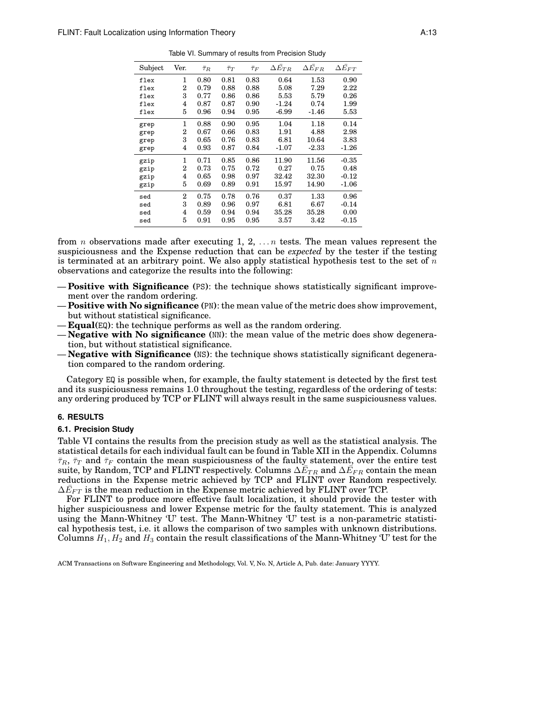| Subject | Ver.           | $\bar{\tau}_R$ | $\bar{\tau}_T$ | $\bar{\tau}_F$ | $\Delta E_{TR}$ | $\Delta \bar{E_{FR}}$ | $\Delta \bar{E_{FT}}$ |
|---------|----------------|----------------|----------------|----------------|-----------------|-----------------------|-----------------------|
| flex    | 1              | 0.80           | 0.81           | 0.83           | 0.64            | 1.53                  | 0.90                  |
| flex    | 2              | 0.79           | 0.88           | 0.88           | 5.08            | 7.29                  | 2.22                  |
| flex    | 3              | 0.77           | 0.86           | 0.86           | 5.53            | 5.79                  | 0.26                  |
| flex    | 4              | 0.87           | 0.87           | 0.90           | $-1.24$         | 0.74                  | 1.99                  |
| flex    | 5              | 0.96           | 0.94           | 0.95           | $-6.99$         | $-1.46$               | 5.53                  |
| grep    | 1              | 0.88           | 0.90           | 0.95           | 1.04            | 1.18                  | 0.14                  |
| grep    | 2              | 0.67           | 0.66           | 0.83           | 1.91            | 4.88                  | 2.98                  |
| grep    | 3              | 0.65           | 0.76           | 0.83           | 6.81            | 10.64                 | 3.83                  |
| grep    | 4              | 0.93           | 0.87           | 0.84           | $-1.07$         | $-2.33$               | $-1.26$               |
| gzip    | 1              | 0.71           | 0.85           | 0.86           | 11.90           | 11.56                 | $-0.35$               |
| gzip    | 2              | 0.73           | 0.75           | 0.72           | 0.27            | 0.75                  | 0.48                  |
| gzip    | 4              | 0.65           | 0.98           | 0.97           | 32.42           | 32.30                 | $-0.12$               |
| gzip    | 5              | 0.69           | 0.89           | 0.91           | 15.97           | 14.90                 | $-1.06$               |
| sed     | $\overline{2}$ | 0.75           | 0.78           | 0.76           | 0.37            | 1.33                  | 0.96                  |
| sed     | 3              | 0.89           | 0.96           | 0.97           | 6.81            | 6.67                  | $-0.14$               |
| sed     | 4              | 0.59           | 0.94           | 0.94           | 35.28           | 35.28                 | 0.00                  |
| sed     | 5              | 0.91           | 0.95           | 0.95           | 3.57            | 3.42                  | $-0.15$               |

Table VI. Summary of results from Precision Study

from *n* observations made after executing 1, 2,  $\dots n$  tests. The mean values represent the suspiciousness and the Expense reduction that can be *expected* by the tester if the testing is terminated at an arbitrary point. We also apply statistical hypothesis test to the set of  $n$ observations and categorize the results into the following:

- **Positive with Significance (**PS**)**: the technique shows statistically significant improvement over the random ordering.
- **Positive with No significance (**PN**)**: the mean value of the metric does show improvement, but without statistical significance.
- **Equal(**EQ**)**: the technique performs as well as the random ordering.
- **Negative with No significance (**NN**)**: the mean value of the metric does show degeneration, but without statistical significance.
- **Negative with Significance (**NS**)**: the technique shows statistically significant degeneration compared to the random ordering.

Category EQ is possible when, for example, the faulty statement is detected by the first test and its suspiciousness remains 1.0 throughout the testing, regardless of the ordering of tests: any ordering produced by TCP or FLINT will always result in the same suspiciousness values.

## **6. RESULTS**

#### **6.1. Precision Study**

Table VI contains the results from the precision study as well as the statistical analysis. The statistical details for each individual fault can be found in Table XII in the Appendix. Columns  $\bar{\tau}_R$ ,  $\bar{\tau}_T$  and  $\bar{\tau}_F$  contain the mean suspiciousness of the faulty statement, over the entire test suite, by Random, TCP and FLINT respectively. Columns  $\Delta \tilde{E}_{TR}$  and  $\Delta \tilde{E}_{FR}$  contain the mean reductions in the Expense metric achieved by TCP and FLINT over Random respectively.  $\Delta\bar{E}_{FT}$  is the mean reduction in the Expense metric achieved by FLINT over TCP.

For FLINT to produce more effective fault localization, it should provide the tester with higher suspiciousness and lower Expense metric for the faulty statement. This is analyzed using the Mann-Whitney 'U' test. The Mann-Whitney 'U' test is a non-parametric statistical hypothesis test, i.e. it allows the comparison of two samples with unknown distributions. Columns  $H_1, H_2$  and  $H_3$  contain the result classifications of the Mann-Whitney 'U' test for the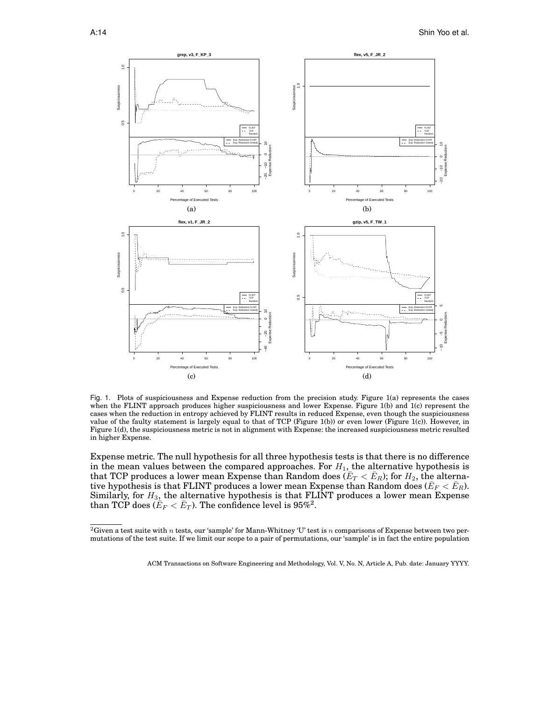

Fig. 1. Plots of suspiciousness and Expense reduction from the precision study. Figure 1(a) represents the cases when the FLINT approach produces higher suspiciousness and lower Expense. Figure 1(b) and 1(c) represent the cases when the reduction in entropy achieved by FLINT results in reduced Expense, even though the suspiciousness value of the faulty statement is largely equal to that of TCP (Figure 1(b)) or even lower (Figure 1(c)). However, in Figure 1(d), the suspiciousness metric is not in alignment with Expense: the increased suspiciousness metric resulted in higher Expense.

Expense metric. The null hypothesis for all three hypothesis tests is that there is no difference in the mean values between the compared approaches. For  $H_1$ , the alternative hypothesis is that TCP produces a lower mean Expense than Random does  $(E_T < E_R)$ ; for  $H_2$ , the alternative hypothesis is that FLINT produces a lower mean Expense than Random does ( $\bar{E}_F < \bar{E}_R$ ). Similarly, for  $H_{3}$ , the alternative hypothesis is that FLINT produces a lower mean Expense than TCP does  $(\tilde{E}_F<\bar{E}_T).$  The confidence level is 95%<sup>2</sup>.

<sup>&</sup>lt;sup>2</sup>Given a test suite with  $n$  tests, our 'sample' for Mann-Whitney 'U' test is  $n$  comparisons of Expense between two permutations of the test suite. If we limit our scope to a pair of permutations, our 'sample' is in fact the entire population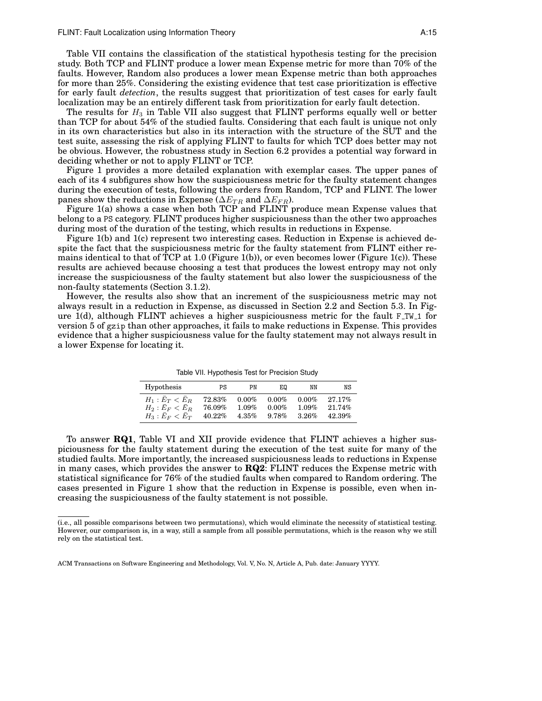Table VII contains the classification of the statistical hypothesis testing for the precision study. Both TCP and FLINT produce a lower mean Expense metric for more than 70% of the faults. However, Random also produces a lower mean Expense metric than both approaches for more than 25%. Considering the existing evidence that test case prioritization is effective for early fault *detection*, the results suggest that prioritization of test cases for early fault localization may be an entirely different task from prioritization for early fault detection.

The results for  $H_3$  in Table VII also suggest that FLINT performs equally well or better than TCP for about 54% of the studied faults. Considering that each fault is unique not only in its own characteristics but also in its interaction with the structure of the SUT and the test suite, assessing the risk of applying FLINT to faults for which TCP does better may not be obvious. However, the robustness study in Section 6.2 provides a potential way forward in deciding whether or not to apply FLINT or TCP.

Figure 1 provides a more detailed explanation with exemplar cases. The upper panes of each of its 4 subfigures show how the suspiciousness metric for the faulty statement changes during the execution of tests, following the orders from Random, TCP and FLINT. The lower panes show the reductions in Expense ( $\Delta E_{TR}$  and  $\Delta E_{FR}$ ).

Figure 1(a) shows a case when both TCP and FLINT produce mean Expense values that belong to a PS category. FLINT produces higher suspiciousness than the other two approaches during most of the duration of the testing, which results in reductions in Expense.

Figure 1(b) and 1(c) represent two interesting cases. Reduction in Expense is achieved despite the fact that the suspiciousness metric for the faulty statement from FLINT either remains identical to that of TCP at 1.0 (Figure 1(b)), or even becomes lower (Figure 1(c)). These results are achieved because choosing a test that produces the lowest entropy may not only increase the suspiciousness of the faulty statement but also lower the suspiciousness of the non-faulty statements (Section 3.1.2).

However, the results also show that an increment of the suspiciousness metric may not always result in a reduction in Expense, as discussed in Section 2.2 and Section 5.3. In Figure  $1(d)$ , although FLINT achieves a higher suspiciousness metric for the fault F<sub>-TW-1</sub> for version 5 of gzip than other approaches, it fails to make reductions in Expense. This provides evidence that a higher suspiciousness value for the faulty statement may not always result in a lower Expense for locating it.

Table VII. Hypothesis Test for Precision Study

| Hypothesis       | PS     | PN       | E0       | ΝN       | NS     |
|------------------|--------|----------|----------|----------|--------|
| $H_1: E_T < E_R$ | 72.83% | $0.00\%$ | $0.00\%$ | $0.00\%$ | 27.17% |
| $H_2: E_F < E_R$ | 76.09% | $1.09\%$ | $0.00\%$ | 1.09%    | 21.74% |
| $H_3: E_F < E_T$ | 40.22% | $4.35\%$ | 9.78%    | 3.26%    | 42.39% |

To answer **RQ1**, Table VI and XII provide evidence that FLINT achieves a higher suspiciousness for the faulty statement during the execution of the test suite for many of the studied faults. More importantly, the increased suspiciousness leads to reductions in Expense in many cases, which provides the answer to **RQ2**: FLINT reduces the Expense metric with statistical significance for 76% of the studied faults when compared to Random ordering. The cases presented in Figure 1 show that the reduction in Expense is possible, even when increasing the suspiciousness of the faulty statement is not possible.

<sup>(</sup>i.e., all possible comparisons between two permutations), which would eliminate the necessity of statistical testing. However, our comparison is, in a way, still a sample from all possible permutations, which is the reason why we still rely on the statistical test.

ACM Transactions on Software Engineering and Methodology, Vol. V, No. N, Article A, Pub. date: January YYYY.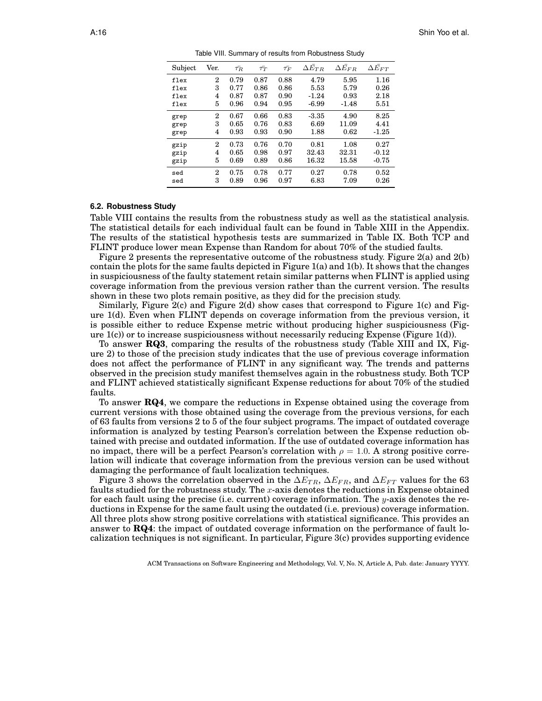| Subject | Ver.           | $\bar{\tau_R}$ | $\bar{\tau_T}$ | $\bar{\tau_F}$ | $\Delta \bar{E}_{TR}$ | $\Delta \bar{E_{FR}}$ | $\Delta E_{FT}$ |
|---------|----------------|----------------|----------------|----------------|-----------------------|-----------------------|-----------------|
| flex    | $\overline{2}$ | 0.79           | 0.87           | 0.88           | 4.79                  | 5.95                  | 1.16            |
| flex    | 3              | 0.77           | 0.86           | 0.86           | 5.53                  | 5.79                  | 0.26            |
| flex    | 4              | 0.87           | 0.87           | 0.90           | $-1.24$               | 0.93                  | 2.18            |
| flex    | 5              | 0.96           | 0.94           | 0.95           | $-6.99$               | $-1.48$               | 5.51            |
| grep    | 2              | 0.67           | 0.66           | 0.83           | $-3.35$               | 4.90                  | 8.25            |
| grep    | 3              | 0.65           | 0.76           | 0.83           | 6.69                  | 11.09                 | 4.41            |
| grep    | 4              | 0.93           | 0.93           | 0.90           | 1.88                  | 0.62                  | $-1.25$         |
| gzip    | $\overline{2}$ | 0.73           | 0.76           | 0.70           | 0.81                  | 1.08                  | 0.27            |
| gzip    | 4              | 0.65           | 0.98           | 0.97           | 32.43                 | 32.31                 | $-0.12$         |
| gzip    | 5              | 0.69           | 0.89           | 0.86           | 16.32                 | 15.58                 | $-0.75$         |
| sed     | $\overline{2}$ | 0.75           | 0.78           | 0.77           | 0.27                  | 0.78                  | 0.52            |
| sed     | 3              | 0.89           | 0.96           | 0.97           | 6.83                  | 7.09                  | 0.26            |
|         |                |                |                |                |                       |                       |                 |

Table VIII. Summary of results from Robustness Study

#### **6.2. Robustness Study**

Table VIII contains the results from the robustness study as well as the statistical analysis. The statistical details for each individual fault can be found in Table XIII in the Appendix. The results of the statistical hypothesis tests are summarized in Table IX. Both TCP and FLINT produce lower mean Expense than Random for about 70% of the studied faults.

Figure 2 presents the representative outcome of the robustness study. Figure 2(a) and 2(b) contain the plots for the same faults depicted in Figure 1(a) and 1(b). It shows that the changes in suspiciousness of the faulty statement retain similar patterns when FLINT is applied using coverage information from the previous version rather than the current version. The results shown in these two plots remain positive, as they did for the precision study.

Similarly, Figure 2(c) and Figure 2(d) show cases that correspond to Figure 1(c) and Figure 1(d). Even when FLINT depends on coverage information from the previous version, it is possible either to reduce Expense metric without producing higher suspiciousness (Figure  $1(c)$  or to increase suspiciousness without necessarily reducing Expense (Figure 1(d)).

To answer **RQ3**, comparing the results of the robustness study (Table XIII and IX, Figure 2) to those of the precision study indicates that the use of previous coverage information does not affect the performance of FLINT in any significant way. The trends and patterns observed in the precision study manifest themselves again in the robustness study. Both TCP and FLINT achieved statistically significant Expense reductions for about 70% of the studied faults.

To answer **RQ4**, we compare the reductions in Expense obtained using the coverage from current versions with those obtained using the coverage from the previous versions, for each of 63 faults from versions 2 to 5 of the four subject programs. The impact of outdated coverage information is analyzed by testing Pearson's correlation between the Expense reduction obtained with precise and outdated information. If the use of outdated coverage information has no impact, there will be a perfect Pearson's correlation with  $\rho = 1.0$ . A strong positive correlation will indicate that coverage information from the previous version can be used without damaging the performance of fault localization techniques.

Figure 3 shows the correlation observed in the  $\Delta E_{TR}$ ,  $\Delta E_{FR}$ , and  $\Delta E_{FT}$  values for the 63 faults studied for the robustness study. The x-axis denotes the reductions in Expense obtained for each fault using the precise (i.e. current) coverage information. The y-axis denotes the reductions in Expense for the same fault using the outdated (i.e. previous) coverage information. All three plots show strong positive correlations with statistical significance. This provides an answer to **RQ4**: the impact of outdated coverage information on the performance of fault localization techniques is not significant. In particular, Figure 3(c) provides supporting evidence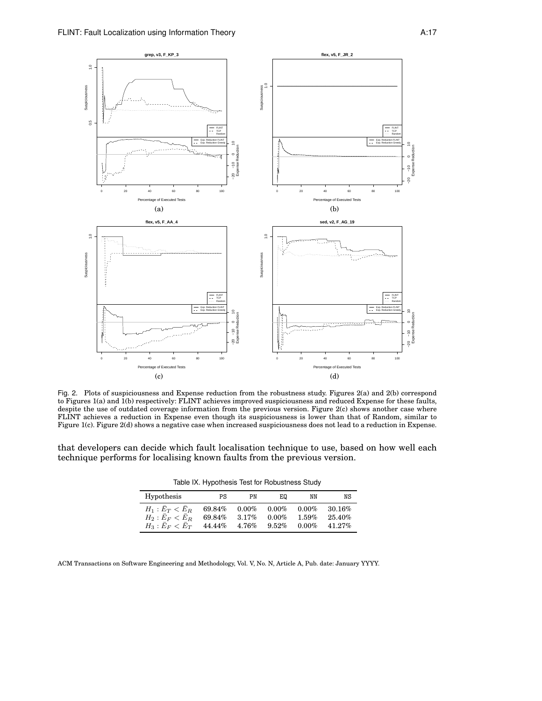

Fig. 2. Plots of suspiciousness and Expense reduction from the robustness study. Figures 2(a) and 2(b) correspond to Figures 1(a) and 1(b) respectively: FLINT achieves improved suspiciousness and reduced Expense for these faults, despite the use of outdated coverage information from the previous version. Figure 2(c) shows another case where FLINT achieves a reduction in Expense even though its suspiciousness is lower than that of Random, similar to Figure 1(c). Figure 2(d) shows a negative case when increased suspiciousness does not lead to a reduction in Expense.

that developers can decide which fault localisation technique to use, based on how well each technique performs for localising known faults from the previous version.

| Table IX. Hypothesis Test for Robustness Study |  |  |  |
|------------------------------------------------|--|--|--|
|------------------------------------------------|--|--|--|

| <b>Hypothesis</b>                       | PS               | PN                | ΕQ                   | ΝN                | NS               |
|-----------------------------------------|------------------|-------------------|----------------------|-------------------|------------------|
| $H_1: E_T < E_R$<br>$H_2$ : $E_F < E_R$ | 69.84%<br>69.84% | $0.00\%$<br>3.17% | $0.00\%$<br>$0.00\%$ | $0.00\%$<br>1.59% | 30.16%<br>25.40% |
| $H_3$ : $E_F < E_T$                     | 44.44%           | $4.76\%$          | 9.52%                | $0.00\%$          | 41.27%           |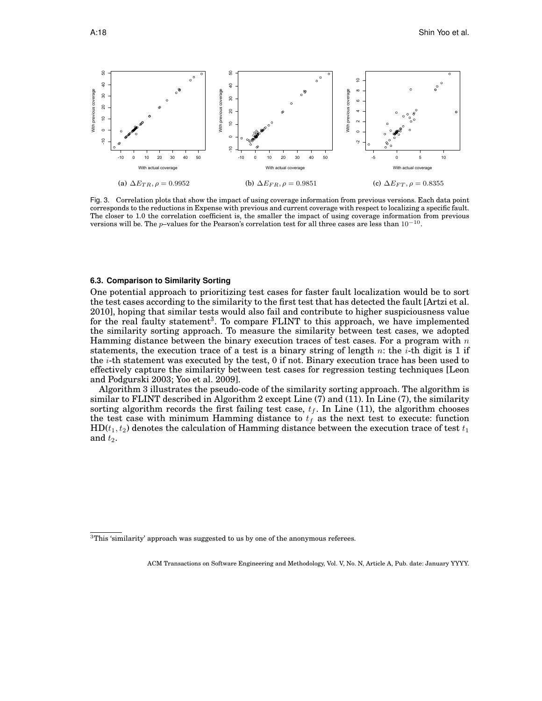

Fig. 3. Correlation plots that show the impact of using coverage information from previous versions. Each data point corresponds to the reductions in Expense with previous and current coverage with respect to localizing a specific fault. The closer to 1.0 the correlation coefficient is, the smaller the impact of using coverage information from previous versions will be. The p–values for the Pearson's correlation test for all three cases are less than  $10^{-10}$ .

## **6.3. Comparison to Similarity Sorting**

One potential approach to prioritizing test cases for faster fault localization would be to sort the test cases according to the similarity to the first test that has detected the fault [Artzi et al. 2010], hoping that similar tests would also fail and contribute to higher suspiciousness value for the real faulty statement<sup>3</sup>. To compare FLINT to this approach, we have implemented the similarity sorting approach. To measure the similarity between test cases, we adopted Hamming distance between the binary execution traces of test cases. For a program with  $n$ statements, the execution trace of a test is a binary string of length  $n$ : the *i*-th digit is 1 if the i-th statement was executed by the test, 0 if not. Binary execution trace has been used to effectively capture the similarity between test cases for regression testing techniques [Leon and Podgurski 2003; Yoo et al. 2009].

Algorithm 3 illustrates the pseudo-code of the similarity sorting approach. The algorithm is similar to FLINT described in Algorithm 2 except Line (7) and (11). In Line (7), the similarity sorting algorithm records the first failing test case,  $t_f$ . In Line (11), the algorithm chooses the test case with minimum Hamming distance to  $t_f$  as the next test to execute: function  $HD(t_1, t_2)$  denotes the calculation of Hamming distance between the execution trace of test  $t_1$ and  $t_2$ .

 $^3{\rm This}$  'similarity' approach was suggested to us by one of the anonymous referees.

ACM Transactions on Software Engineering and Methodology, Vol. V, No. N, Article A, Pub. date: January YYYY.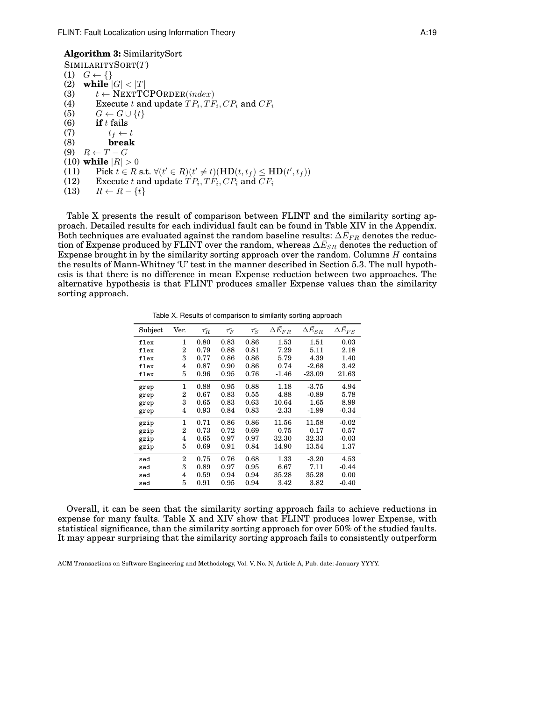SIMILARITYSORT(T) (1)  $G \leftarrow \{\}$ (2) **while**  $|G| < |T|$ (3)  $t \leftarrow \text{NEXTTCPORDER}(index)$ (4) Execute t and update  $TP_i, TF_i, CP_i$  and  $CF_i$ (5)  $G \leftarrow G \cup \{t\}$ (6) **if** t fails (7)  $t_f \leftarrow t$ <br>(8) **break** (8) **break** (9)  $R \leftarrow T - G$ (10) **while**  $|R| > 0$ (11) Pick  $t \in R$  s.t.  $\forall (t' \in R)(t' \neq t)(HD(t, t_f) \le HD(t', t_f))$ (12) Execute  $t$  and update  $TP_i, TF_i, CP_i$  and  $CF_i$ (13)  $R \leftarrow R - \{t\}$ 

Table X presents the result of comparison between FLINT and the similarity sorting approach. Detailed results for each individual fault can be found in Table XIV in the Appendix. Both techniques are evaluated against the random baseline results:  $\Delta \bar{E}_{FR}$  denotes the reduction of Expense produced by FLINT over the random, whereas  $\Delta \bar{E}_{SR}$  denotes the reduction of Expense brought in by the similarity sorting approach over the random. Columns  $H$  contains the results of Mann-Whitney 'U' test in the manner described in Section 5.3. The null hypothesis is that there is no difference in mean Expense reduction between two approaches. The alternative hypothesis is that FLINT produces smaller Expense values than the similarity sorting approach.

Table X. Results of comparison to similarity sorting approach

| Subject | Ver.           | $\bar{\tau_R}$ | $\bar{\tau_F}$ | $\bar{\tau_S}$ | $\Delta E_{FR}$ | $\Delta \bar{E}_{SR}$ | $\Delta E_{FS}$ |
|---------|----------------|----------------|----------------|----------------|-----------------|-----------------------|-----------------|
| flex    | 1              | 0.80           | 0.83           | 0.86           | 1.53            | 1.51                  | 0.03            |
| flex    | 2              | 0.79           | 0.88           | 0.81           | 7.29            | 5.11                  | 2.18            |
| flex    | 3              | 0.77           | 0.86           | 0.86           | 5.79            | 4.39                  | 1.40            |
| flex    | 4              | 0.87           | 0.90           | 0.86           | 0.74            | $-2.68$               | 3.42            |
| flex    | 5              | 0.96           | 0.95           | 0.76           | $-1.46$         | $-23.09$              | 21.63           |
| grep    | 1              | 0.88           | 0.95           | 0.88           | 1.18            | $-3.75$               | 4.94            |
| grep    | 2              | 0.67           | 0.83           | 0.55           | 4.88            | $-0.89$               | 5.78            |
| grep    | 3              | 0.65           | 0.83           | 0.63           | 10.64           | 1.65                  | 8.99            |
| grep    | 4              | 0.93           | 0.84           | 0.83           | $-2.33$         | $-1.99$               | $-0.34$         |
| gzip    | 1              | 0.71           | 0.86           | 0.86           | 11.56           | 11.58                 | $-0.02$         |
| gzip    | 2              | 0.73           | 0.72           | 0.69           | 0.75            | 0.17                  | 0.57            |
| gzip    | 4              | 0.65           | 0.97           | 0.97           | 32.30           | 32.33                 | $-0.03$         |
| gzip    | 5              | 0.69           | 0.91           | 0.84           | 14.90           | 13.54                 | 1.37            |
| sed     | $\overline{2}$ | 0.75           | 0.76           | 0.68           | 1.33            | $-3.20$               | 4.53            |
| sed     | 3              | 0.89           | 0.97           | 0.95           | 6.67            | 7.11                  | $-0.44$         |
| sed     | 4              | 0.59           | 0.94           | 0.94           | 35.28           | 35.28                 | 0.00            |
| sed     | 5              | 0.91           | 0.95           | 0.94           | 3.42            | 3.82                  | $-0.40$         |

Overall, it can be seen that the similarity sorting approach fails to achieve reductions in expense for many faults. Table X and XIV show that FLINT produces lower Expense, with statistical significance, than the similarity sorting approach for over 50% of the studied faults. It may appear surprising that the similarity sorting approach fails to consistently outperform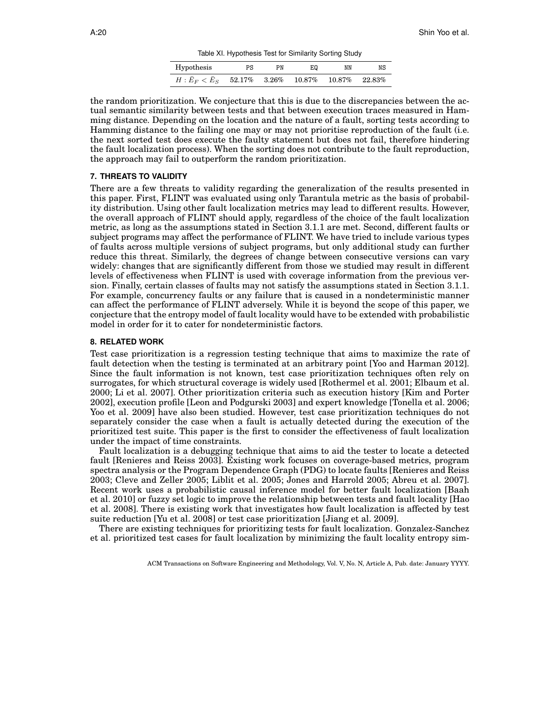Table XI. Hypothesis Test for Similarity Sorting Study

| Hypothesis     | PS                 | PN | E۵        | NN        | NS        |
|----------------|--------------------|----|-----------|-----------|-----------|
| $H: E_F < E_S$ | $52.17\%$ $3.26\%$ |    | $10.87\%$ | $10.87\%$ | $22.83\%$ |

the random prioritization. We conjecture that this is due to the discrepancies between the actual semantic similarity between tests and that between execution traces measured in Hamming distance. Depending on the location and the nature of a fault, sorting tests according to Hamming distance to the failing one may or may not prioritise reproduction of the fault (i.e. the next sorted test does execute the faulty statement but does not fail, therefore hindering the fault localization process). When the sorting does not contribute to the fault reproduction, the approach may fail to outperform the random prioritization.

## **7. THREATS TO VALIDITY**

There are a few threats to validity regarding the generalization of the results presented in this paper. First, FLINT was evaluated using only Tarantula metric as the basis of probability distribution. Using other fault localization metrics may lead to different results. However, the overall approach of FLINT should apply, regardless of the choice of the fault localization metric, as long as the assumptions stated in Section 3.1.1 are met. Second, different faults or subject programs may affect the performance of FLINT. We have tried to include various types of faults across multiple versions of subject programs, but only additional study can further reduce this threat. Similarly, the degrees of change between consecutive versions can vary widely: changes that are significantly different from those we studied may result in different levels of effectiveness when FLINT is used with coverage information from the previous version. Finally, certain classes of faults may not satisfy the assumptions stated in Section 3.1.1. For example, concurrency faults or any failure that is caused in a nondeterministic manner can affect the performance of FLINT adversely. While it is beyond the scope of this paper, we conjecture that the entropy model of fault locality would have to be extended with probabilistic model in order for it to cater for nondeterministic factors.

#### **8. RELATED WORK**

Test case prioritization is a regression testing technique that aims to maximize the rate of fault detection when the testing is terminated at an arbitrary point [Yoo and Harman 2012]. Since the fault information is not known, test case prioritization techniques often rely on surrogates, for which structural coverage is widely used [Rothermel et al. 2001; Elbaum et al. 2000; Li et al. 2007]. Other prioritization criteria such as execution history [Kim and Porter 2002], execution profile [Leon and Podgurski 2003] and expert knowledge [Tonella et al. 2006; Yoo et al. 2009] have also been studied. However, test case prioritization techniques do not separately consider the case when a fault is actually detected during the execution of the prioritized test suite. This paper is the first to consider the effectiveness of fault localization under the impact of time constraints.

Fault localization is a debugging technique that aims to aid the tester to locate a detected fault [Renieres and Reiss 2003]. Existing work focuses on coverage-based metrics, program spectra analysis or the Program Dependence Graph (PDG) to locate faults [Renieres and Reiss 2003; Cleve and Zeller 2005; Liblit et al. 2005; Jones and Harrold 2005; Abreu et al. 2007]. Recent work uses a probabilistic causal inference model for better fault localization [Baah et al. 2010] or fuzzy set logic to improve the relationship between tests and fault locality [Hao et al. 2008]. There is existing work that investigates how fault localization is affected by test suite reduction [Yu et al. 2008] or test case prioritization [Jiang et al. 2009].

There are existing techniques for prioritizing tests for fault localization. Gonzalez-Sanchez et al. prioritized test cases for fault localization by minimizing the fault locality entropy sim-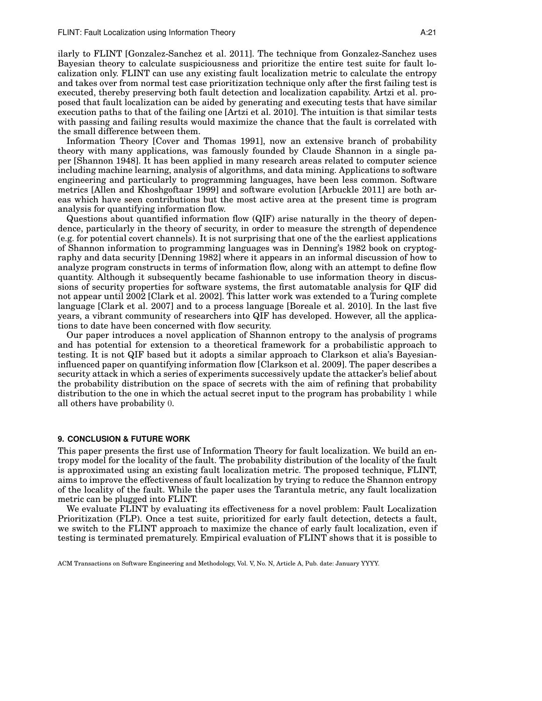ilarly to FLINT [Gonzalez-Sanchez et al. 2011]. The technique from Gonzalez-Sanchez uses Bayesian theory to calculate suspiciousness and prioritize the entire test suite for fault localization only. FLINT can use any existing fault localization metric to calculate the entropy and takes over from normal test case prioritization technique only after the first failing test is executed, thereby preserving both fault detection and localization capability. Artzi et al. proposed that fault localization can be aided by generating and executing tests that have similar execution paths to that of the failing one [Artzi et al. 2010]. The intuition is that similar tests with passing and failing results would maximize the chance that the fault is correlated with the small difference between them.

Information Theory [Cover and Thomas 1991], now an extensive branch of probability theory with many applications, was famously founded by Claude Shannon in a single paper [Shannon 1948]. It has been applied in many research areas related to computer science including machine learning, analysis of algorithms, and data mining. Applications to software engineering and particularly to programming languages, have been less common. Software metrics [Allen and Khoshgoftaar 1999] and software evolution [Arbuckle 2011] are both areas which have seen contributions but the most active area at the present time is program analysis for quantifying information flow.

Questions about quantified information flow (QIF) arise naturally in the theory of dependence, particularly in the theory of security, in order to measure the strength of dependence (e.g. for potential covert channels). It is not surprising that one of the the earliest applications of Shannon information to programming languages was in Denning's 1982 book on cryptography and data security [Denning 1982] where it appears in an informal discussion of how to analyze program constructs in terms of information flow, along with an attempt to define flow quantity. Although it subsequently became fashionable to use information theory in discussions of security properties for software systems, the first automatable analysis for QIF did not appear until 2002 [Clark et al. 2002]. This latter work was extended to a Turing complete language [Clark et al. 2007] and to a process language [Boreale et al. 2010]. In the last five years, a vibrant community of researchers into QIF has developed. However, all the applications to date have been concerned with flow security.

Our paper introduces a novel application of Shannon entropy to the analysis of programs and has potential for extension to a theoretical framework for a probabilistic approach to testing. It is not QIF based but it adopts a similar approach to Clarkson et alia's Bayesianinfluenced paper on quantifying information flow [Clarkson et al. 2009]. The paper describes a security attack in which a series of experiments successively update the attacker's belief about the probability distribution on the space of secrets with the aim of refining that probability distribution to the one in which the actual secret input to the program has probability 1 while all others have probability 0.

## **9. CONCLUSION & FUTURE WORK**

This paper presents the first use of Information Theory for fault localization. We build an entropy model for the locality of the fault. The probability distribution of the locality of the fault is approximated using an existing fault localization metric. The proposed technique, FLINT, aims to improve the effectiveness of fault localization by trying to reduce the Shannon entropy of the locality of the fault. While the paper uses the Tarantula metric, any fault localization metric can be plugged into FLINT.

We evaluate FLINT by evaluating its effectiveness for a novel problem: Fault Localization Prioritization (FLP). Once a test suite, prioritized for early fault detection, detects a fault, we switch to the FLINT approach to maximize the chance of early fault localization, even if testing is terminated prematurely. Empirical evaluation of FLINT shows that it is possible to

ACM Transactions on Software Engineering and Methodology, Vol. V, No. N, Article A, Pub. date: January YYYY.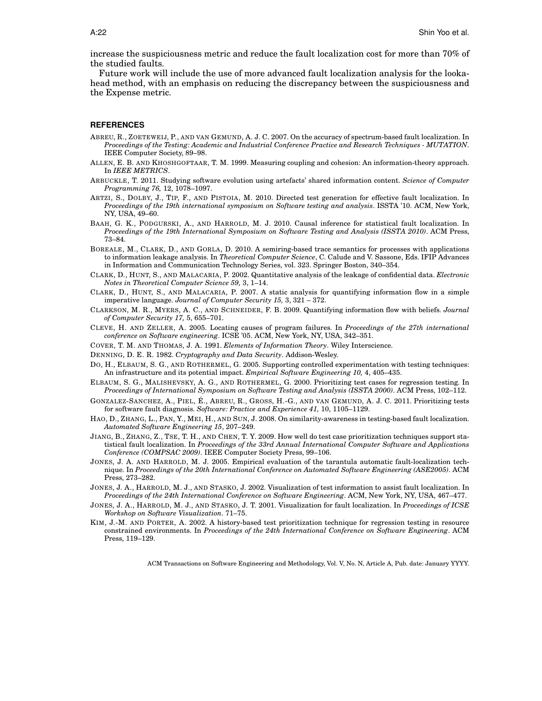increase the suspiciousness metric and reduce the fault localization cost for more than 70% of the studied faults.

Future work will include the use of more advanced fault localization analysis for the lookahead method, with an emphasis on reducing the discrepancy between the suspiciousness and the Expense metric.

#### **REFERENCES**

- ABREU, R., ZOETEWEIJ, P., AND VAN GEMUND, A. J. C. 2007. On the accuracy of spectrum-based fault localization. In *Proceedings of the Testing: Academic and Industrial Conference Practice and Research Techniques - MUTATION*. IEEE Computer Society, 89–98.
- ALLEN, E. B. AND KHOSHGOFTAAR, T. M. 1999. Measuring coupling and cohesion: An information-theory approach. In *IEEE METRICS*.
- ARBUCKLE, T. 2011. Studying software evolution using artefacts' shared information content. *Science of Computer Programming 76,* 12, 1078–1097.
- ARTZI, S., DOLBY, J., TIP, F., AND PISTOIA, M. 2010. Directed test generation for effective fault localization. In *Proceedings of the 19th international symposium on Software testing and analysis*. ISSTA '10. ACM, New York, NY, USA, 49–60.
- BAAH, G. K., PODGURSKI, A., AND HARROLD, M. J. 2010. Causal inference for statistical fault localization. In *Proceedings of the 19th International Symposium on Software Testing and Analysis (ISSTA 2010)*. ACM Press, 73–84.
- BOREALE, M., CLARK, D., AND GORLA, D. 2010. A semiring-based trace semantics for processes with applications to information leakage analysis. In *Theoretical Computer Science*, C. Calude and V. Sassone, Eds. IFIP Advances in Information and Communication Technology Series, vol. 323. Springer Boston, 340–354.
- CLARK, D., HUNT, S., AND MALACARIA, P. 2002. Quantitative analysis of the leakage of confidential data. *Electronic Notes in Theoretical Computer Science 59,* 3, 1–14.
- CLARK, D., HUNT, S., AND MALACARIA, P. 2007. A static analysis for quantifying information flow in a simple imperative language. *Journal of Computer Security 15,* 3, 321 – 372.
- CLARKSON, M. R., MYERS, A. C., AND SCHNEIDER, F. B. 2009. Quantifying information flow with beliefs. *Journal of Computer Security 17,* 5, 655–701.
- CLEVE, H. AND ZELLER, A. 2005. Locating causes of program failures. In *Proceedings of the 27th international conference on Software engineering*. ICSE '05. ACM, New York, NY, USA, 342–351.
- COVER, T. M. AND THOMAS, J. A. 1991. *Elements of Information Theory*. Wiley Interscience.
- DENNING, D. E. R. 1982. *Cryptography and Data Security*. Addison-Wesley.
- DO, H., ELBAUM, S. G., AND ROTHERMEL, G. 2005. Supporting controlled experimentation with testing techniques: An infrastructure and its potential impact. *Empirical Software Engineering 10,* 4, 405–435.
- ELBAUM, S. G., MALISHEVSKY, A. G., AND ROTHERMEL, G. 2000. Prioritizing test cases for regression testing. In *Proceedings of International Symposium on Software Testing and Analysis (ISSTA 2000)*. ACM Press, 102–112.
- GONZALEZ-SANCHEZ, A., PIEL, É., ABREU, R., GROSS, H.-G., AND VAN GEMUND, A. J. C. 2011. Prioritizing tests for software fault diagnosis. *Software: Practice and Experience 41,* 10, 1105–1129.
- HAO, D., ZHANG, L., PAN, Y., MEI, H., AND SUN, J. 2008. On similarity-awareness in testing-based fault localization. *Automated Software Engineering 15*, 207–249.
- JIANG, B., ZHANG, Z., TSE, T. H., AND CHEN, T. Y. 2009. How well do test case prioritization techniques support statistical fault localization. In *Proceedings of the 33rd Annual International Computer Software and Applications Conference (COMPSAC 2009)*. IEEE Computer Society Press, 99–106.
- JONES, J. A. AND HARROLD, M. J. 2005. Empirical evaluation of the tarantula automatic fault-localization technique. In *Proceedings of the 20th International Conference on Automated Software Engineering (ASE2005)*. ACM Press, 273–282.
- JONES, J. A., HARROLD, M. J., AND STASKO, J. 2002. Visualization of test information to assist fault localization. In *Proceedings of the 24th International Conference on Software Engineering*. ACM, New York, NY, USA, 467–477.
- JONES, J. A., HARROLD, M. J., AND STASKO, J. T. 2001. Visualization for fault localization. In *Proceedings of ICSE Workshop on Software Visualization*. 71–75.
- KIM, J.-M. AND PORTER, A. 2002. A history-based test prioritization technique for regression testing in resource constrained environments. In *Proceedings of the 24th International Conference on Software Engineering*. ACM Press, 119–129.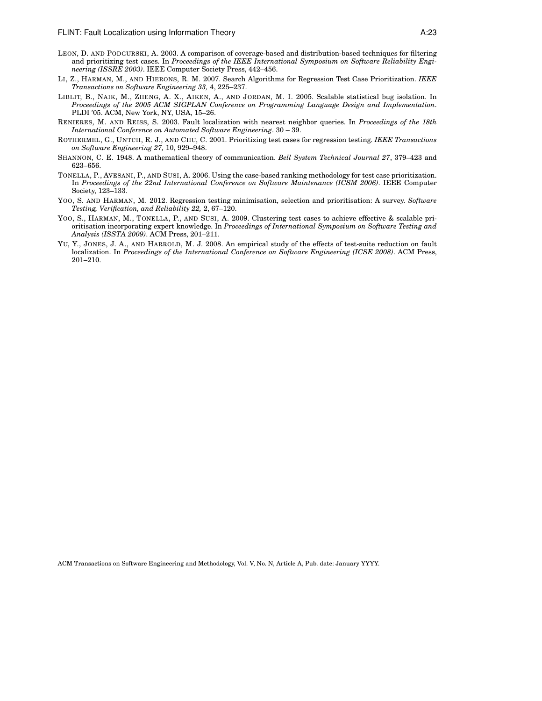- LEON, D. AND PODGURSKI, A. 2003. A comparison of coverage-based and distribution-based techniques for filtering and prioritizing test cases. In *Proceedings of the IEEE International Symposium on Software Reliability Engineering (ISSRE 2003)*. IEEE Computer Society Press, 442–456.
- LI, Z., HARMAN, M., AND HIERONS, R. M. 2007. Search Algorithms for Regression Test Case Prioritization. *IEEE Transactions on Software Engineering 33,* 4, 225–237.
- LIBLIT, B., NAIK, M., ZHENG, A. X., AIKEN, A., AND JORDAN, M. I. 2005. Scalable statistical bug isolation. In *Proceedings of the 2005 ACM SIGPLAN Conference on Programming Language Design and Implementation*. PLDI '05. ACM, New York, NY, USA, 15–26.
- RENIERES, M. AND REISS, S. 2003. Fault localization with nearest neighbor queries. In *Proceedings of the 18th International Conference on Automated Software Engineering*. 30 – 39.
- ROTHERMEL, G., UNTCH, R. J., AND CHU, C. 2001. Prioritizing test cases for regression testing. *IEEE Transactions on Software Engineering 27,* 10, 929–948.
- SHANNON, C. E. 1948. A mathematical theory of communication. *Bell System Technical Journal 27*, 379–423 and 623–656.
- TONELLA, P., AVESANI, P., AND SUSI, A. 2006. Using the case-based ranking methodology for test case prioritization. In *Proceedings of the 22nd International Conference on Software Maintenance (ICSM 2006)*. IEEE Computer Society, 123–133.
- YOO, S. AND HARMAN, M. 2012. Regression testing minimisation, selection and prioritisation: A survey. *Software Testing, Verification, and Reliability 22,* 2, 67–120.
- YOO, S., HARMAN, M., TONELLA, P., AND SUSI, A. 2009. Clustering test cases to achieve effective & scalable prioritisation incorporating expert knowledge. In *Proceedings of International Symposium on Software Testing and Analysis (ISSTA 2009)*. ACM Press, 201–211.
- YU, Y., JONES, J. A., AND HARROLD, M. J. 2008. An empirical study of the effects of test-suite reduction on fault localization. In *Proceedings of the International Conference on Software Engineering (ICSE 2008)*. ACM Press, 201–210.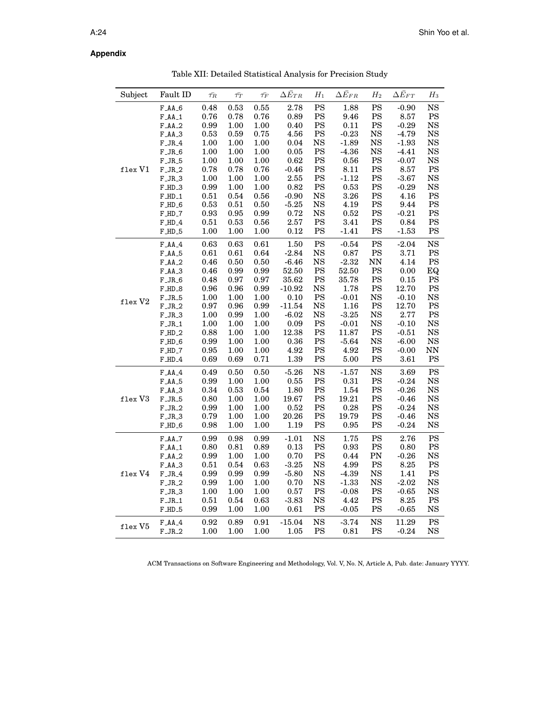# **Appendix**

Table XII: Detailed Statistical Analysis for Precision Study

| Subject         | Fault ID                 | $\bar{\tau_R}$ | $\bar{\tau_T}$ | $\bar{\tau_F}$ | $\Delta \bar{E}_{TR}$ | $H_1$         | $\Delta \bar{E}_{FR}$ | $H_2$         | $\Delta\bar{E}_{FT}$ | $H_3$                  |
|-----------------|--------------------------|----------------|----------------|----------------|-----------------------|---------------|-----------------------|---------------|----------------------|------------------------|
|                 | $F\_AA\_6$               | 0.48           | 0.53           | 0.55           | 2.78                  | $\mathbf{PS}$ | 1.88                  | $\mathbf{PS}$ | $-0.90$              | NS                     |
|                 | $F\_AA\_1$               | 0.76           | 0.78           | 0.76           | 0.89                  | $\mathbf{PS}$ | 9.46                  | $\mathbf{PS}$ | 8.57                 | $\mathbf{PS}$          |
|                 | $F\_AA_2$                | 0.99           | 1.00           | $1.00\,$       | 0.40                  | $_{\rm PS}$   | 0.11                  | $\mathbf{PS}$ | $-0.29$              | $_{\rm NS}$            |
|                 | $FAA-3$                  | 0.53           | 0.59           | 0.75           | 4.56                  | $_{\rm PS}$   | $-0.23$               | $_{\rm NS}$   | $-4.79$              | $_{\rm NS}$            |
|                 | $\text{F\_JR\_4}$        | $1.00\,$       | $1.00\,$       | $1.00\,$       | 0.04                  | $_{\rm NS}$   | $-1.89$               | $_{\rm NS}$   | $-1.93$              | $_{\rm NS}$            |
|                 | $F_JR_6$                 | $1.00\,$       | $1.00\,$       | $1.00\,$       | 0.05                  | $\mathbf{PS}$ | $-4.36$               | $_{\rm NS}$   | $-4.41$              | $_{\rm NS}$            |
|                 | $\text{F\_JR\_5}$        | $1.00\,$       | $1.00\,$       | $1.00\,$       | 0.62                  | $_{\rm PS}$   | $\rm 0.56$            | $_{\rm PS}$   | $-0.07$              | $_{\rm NS}$            |
| flex V1         | $F_JR_2$                 | 0.78           | 0.78           | 0.76           | $-0.46$               | $_{\rm PS}$   | 8.11                  | PS            | 8.57                 | $\mathbf{PS}$          |
|                 | $F_JR_3$                 | 1.00           | 1.00           | 1.00           | $2.55\,$              | $_{\rm PS}$   | $-1.12$               | $_{\rm PS}$   | $-3.67$              | $_{\rm NS}$            |
|                 | $F$ _HD_3                | $\rm 0.99$     | 1.00           | $1.00\,$       | 0.82                  | $_{\rm PS}$   | 0.53                  | $\mathbf{PS}$ | $-0.29$              | <b>NS</b>              |
|                 | $F$ _HD_1                | $0.51\,$       | 0.54           | $0.56\,$       | $-0.90$               | $_{\rm NS}$   | $3.26\,$              | $\mathbf{PS}$ | 4.16                 | $\mathop{\hbox{PS}}$   |
|                 | $F$ _HD_6                | $\rm 0.53$     | $0.51\,$       | $0.50\,$       | $-5.25$               | $_{\rm NS}$   | 4.19                  | $\mathbf{PS}$ | 9.44                 | $\mathop{\hbox{PS}}$   |
|                 | $F$ _HD_7                | $\rm 0.93$     | $\rm 0.95$     | 0.99           | 0.72                  | $_{\rm NS}$   | 0.52                  | $\mathbf{PS}$ | $-0.21$              | PS                     |
|                 | $F_$ <sub>-4</sub>       | $0.51\,$       | 0.53           | $0.56\,$       | $2.57\,$              | $_{\rm PS}$   | 3.41                  | $_{\rm PS}$   | 0.84                 | $\mathbf{PS}$          |
|                 | $F$ _HD_5                | $1.00\,$       | $1.00\,$       | $1.00\,$       | 0.12                  | $\mathbf{PS}$ | $-1.41$               | $\mathbf{PS}$ | $-1.53$              | PS                     |
|                 | $FAA-4$                  | 0.63           | 0.63           | 0.61           | 1.50                  | $\mathbf{PS}$ | $-0.54$               | $\mathbf{PS}$ | $-2.04$              | <b>NS</b>              |
|                 | $F\_AA\_5$               | $0.61\,$       | $0.61\,$       | 0.64           | $-2.84$               | $_{\rm NS}$   | $\rm 0.87$            | $\mathbf{PS}$ | $3.71\,$             | $\mathop{\mathrm{PS}}$ |
|                 | $F\_AA\_2$               | $0.46\,$       | $0.50\,$       | $0.50\,$       | $-6.46$               | $_{\rm NS}$   | $-2.32$               | $\rm NN$      | 4.14                 | $\mathop{\mathrm{PS}}$ |
|                 | $\text{F\_AA}\_\text{3}$ | $0.46\,$       | 0.99           | 0.99           | $52.50\,$             | PS            | $52.50\,$             | PS            | $0.00\,$             | EQ                     |
|                 | $F_JR_6$                 | 0.48           | 0.97           | 0.97           | 35.62                 | $\mathbf{PS}$ | 35.78                 | $\mathbf{PS}$ | $0.15\,$             | <b>PS</b>              |
|                 | $F$ _HD_8                | 0.96           | 0.96           | 0.99           | $-10.92$              | <b>NS</b>     | 1.78                  | $\mathbf{PS}$ | 12.70                | <b>PS</b>              |
| $f$ lex $V2$    | $\text{F\_JR\_5}$        | $1.00\,$       | 1.00           | $1.00\,$       | $0.10\,$              | $\mathbf{PS}$ | $-0.01$               | $_{\rm NS}$   | $-0.10$              | <b>NS</b>              |
|                 | $F_JR_2$                 | $\rm 0.97$     | $\rm 0.96$     | 0.99           | $-11.54$              | $_{\rm NS}$   | $1.16\,$              | $\mathbf{PS}$ | 12.70                | $\mathbf{PS}$          |
|                 | $F_JR_3$                 | $1.00\,$       | 0.99           | $1.00\,$       | $-6.02$               | $_{\rm NS}$   | $-3.25$               | $_{\rm NS}$   | 2.77                 | $_{\rm PS}$            |
|                 | $F_JR_1$                 | 1.00           | 1.00           | 1.00           | 0.09                  | $_{\rm PS}$   | $-0.01$               | $_{\rm NS}$   | $-0.10$              | $_{\rm NS}$            |
|                 | $F_$ HD_2                | 0.88           | 1.00           | $1.00\,$       | 12.38                 | $_{\rm PS}$   | 11.87                 | $\mathbf{PS}$ | $-0.51$              | <b>NS</b>              |
|                 | $F$ _HD_6                | $\rm 0.99$     | 1.00           | 1.00           | 0.36                  | $_{\rm PS}$   | $-5.64$               | $_{\rm NS}$   | $-6.00$              | $_{\rm NS}$            |
|                 | $F_{{\rm H}}D_{-}7$      | $\rm 0.95$     | 1.00           | $1.00\,$       | 4.92                  | $\mathbf{PS}$ | 4.92                  | $\mathbf{PS}$ | $-0.00$              | $\mathrm{NN}$          |
|                 | $\text{F\_HD\_4}$        | 0.69           | 0.69           | 0.71           | 1.39                  | $_{\rm PS}$   | 5.00                  | $\mathbf{PS}$ | $3.61\,$             | $\mathop{\mathrm{PS}}$ |
|                 | $\textbf{F\_AA\_4}$      | 0.49           | 0.50           | 0.50           | $-5.26$               | $_{\rm NS}$   | $-1.57$               | $_{\rm NS}$   | 3.69                 | $\mathbf{PS}$          |
|                 | $F\_AA_5$                | 0.99           | $1.00\,$       | $1.00\,$       | 0.55                  | $_{\rm PS}$   | $\rm 0.31$            | $\mathbf{PS}$ | $-0.24$              | $_{\rm NS}$            |
|                 | $F\_AA\_3$               | $\rm 0.34$     | 0.53           | $\rm 0.54$     | 1.80                  | $_{\rm PS}$   | $1.54\,$              | $_{\rm PS}$   | $-0.26$              | $_{\rm NS}$            |
| ${\tt flex~V3}$ | $F_JR_5$                 | $0.80\,$       | 1.00           | 1.00           | 19.67                 | $\mathbf{PS}$ | 19.21                 | $\mathbf{PS}$ | $-0.46$              | $_{\rm NS}$            |
|                 | $F_JR_2$                 | $\rm 0.99$     | 1.00           | 1.00           | $\rm 0.52$            | $_{\rm PS}$   | 0.28                  | $_{\rm PS}$   | $-0.24$              | $_{\rm NS}$            |
|                 | $F_JR_3$                 | $0.79\,$       | $1.00\,$       | $1.00\,$       | 20.26                 | $\mathbf{PS}$ | 19.79                 | $\mathbf{PS}$ | $-0.46$              | $_{\rm NS}$            |
|                 | $F_\text{H}D_6$          | $\rm 0.98$     | $1.00\,$       | $1.00\,$       | 1.19                  | $_{\rm PS}$   | $\rm 0.95$            | $\mathbf{PS}$ | $-0.24$              | $_{\rm NS}$            |
|                 | $\textbf{F\_AA\_7}$      | 0.99           | 0.98           | 0.99           | $-1.01$               | $_{\rm NS}$   | 1.75                  | $\mathbf{PS}$ | 2.76                 | $\mathbf{PS}$          |
|                 | $F\_AA\_1$               | $0.80\,$       | 0.81           | 0.89           | 0.13                  | $_{\rm PS}$   | 0.93                  | $\mathbf{PS}$ | $0.80\,$             | $\mathbf{PS}$          |
|                 | $F\_AA\_2$               | $\rm 0.99$     | $1.00\,$       | $1.00\,$       | $0.70\,$              | $_{\rm PS}$   | 0.44                  | ${\rm PN}$    | $-0.26$              | $_{\rm NS}$            |
|                 | $FAA-3$                  | $0.51\,$       | 0.54           | 0.63           | $-3.25$               | $_{\rm NS}$   | 4.99                  | $\mathbf{PS}$ | 8.25                 | $\mathbf{PS}$          |
| flex V4         | $F_JR_4$                 | 0.99           | 0.99           | 0.99           | $-5.80$               | $_{\rm NS}$   | $-4.39$               | $_{\rm NS}$   | 1.41                 | $\mathbf{PS}$          |
|                 | $F_JR_2$                 | $\rm 0.99$     | $1.00\,$       | $1.00\,$       | $0.70\,$              | $_{\rm NS}$   | $-1.33$               | $_{\rm NS}$   | $-2.02$              | $_{\rm NS}$            |
|                 | $F_JR_3$                 | $1.00\,$       | $1.00\,$       | $1.00\,$       | $0.57\,$              | $\mathbf{PS}$ | $-0.08$               | $_{\rm PS}$   | $-0.65$              | $_{\rm NS}$            |
|                 | $\text{F\_JR\_1}$        | $0.51\,$       | 0.54           | 0.63           | $-3.83$               | $_{\rm NS}$   | 4.42                  | PS            | 8.25                 | $\mathbf{PS}$          |
|                 | $F_{{\rm H}}D_{-}5$      | 0.99           | 1.00           | 1.00           | $\rm 0.61$            | $_{\rm PS}$   | $-0.05$               | $\mathbf{PS}$ | $-0.65$              | <b>NS</b>              |
| flex V5         | $FAA-4$                  | $\rm 0.92$     | 0.89           | $\rm 0.91$     | $-15.04$              | $_{\rm NS}$   | $-3.74$               | $_{\rm NS}$   | 11.29                | $\mathbf{PS}$          |
|                 | $F_JR_2$                 | 1.00           | 1.00           | 1.00           | 1.05                  | $_{\rm PS}$   | $\rm 0.81$            | $\mathbf{PS}$ | $-0.24$              | $_{\rm NS}$            |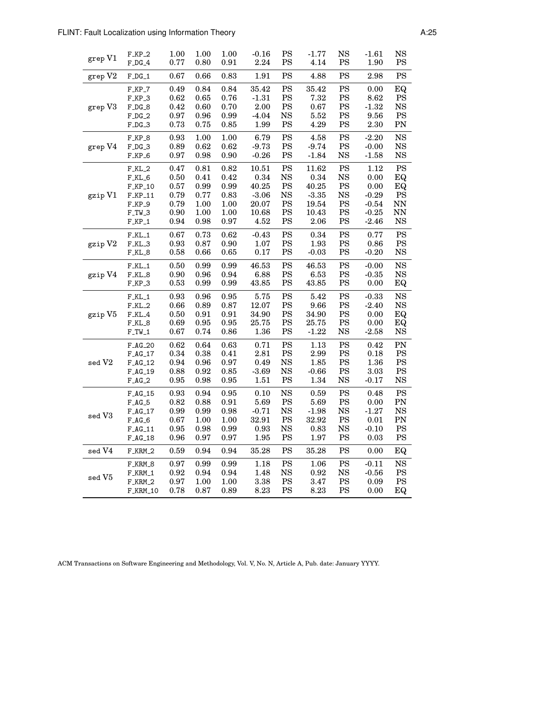| grep V1           | $F_KP_2$           | 1.00       | 1.00       | 1.00       | $-0.16$   | PS            | $-1.77$    | NS            | $-1.61$    | NS            |
|-------------------|--------------------|------------|------------|------------|-----------|---------------|------------|---------------|------------|---------------|
|                   | $F\_DG\_4$         | 0.77       | $0.80\,$   | 0.91       | 2.24      | PS            | 4.14       | PS            | 1.90       | PS            |
| grep V2           | $F\_DG\_1$         | 0.67       | 0.66       | 0.83       | 1.91      | $_{\rm PS}$   | 4.88       | PS            | 2.98       | PS            |
| grep V3           | $F_KP_7$           | 0.49       | 0.84       | 0.84       | 35.42     | PS            | 35.42      | <b>PS</b>     | 0.00       | EQ            |
|                   | $F_KP_3$           | 0.62       | 0.65       | 0.76       | $-1.31$   | $_{\rm PS}$   | 7.32       | $_{\rm PS}$   | 8.62       | <b>PS</b>     |
|                   | $F_DG_8$           | 0.42       | 0.60       | 0.70       | 2.00      | $_{\rm PS}$   | 0.67       | PS            | $-1.32$    | $_{\rm NS}$   |
|                   | $F\_DG\_2$         | 0.97       | 0.96       | 0.99       | $-4.04$   | $_{\rm NS}$   | 5.52       | $\mathbf{PS}$ | 9.56       | $\mathbf{PS}$ |
|                   | $F\_DG\_3$         | 0.73       | 0.75       | 0.85       | 1.99      | $_{\rm PS}$   | 4.29       | PS            | 2.30       | PN            |
| grep V4           | $F_KP_8$           | 0.93       | 1.00       | 1.00       | 6.79      | $\mathbf{PS}$ | 4.58       | PS            | $-2.20$    | <b>NS</b>     |
|                   | $F\_DG\_3$         | 0.89       | 0.62       | 0.62       | $-9.73$   | PS            | $-9.74$    | $_{\rm PS}$   | $-0.00$    | $_{\rm NS}$   |
|                   | $F_KP_6$           | 0.97       | 0.98       | 0.90       | $-0.26$   | PS            | $-1.84$    | <b>NS</b>     | $-1.58$    | <b>NS</b>     |
| gzip V1           | $F_KL_2$           | 0.47       | 0.81       | 0.82       | 10.51     | $\mathbf{PS}$ | 11.62      | <b>PS</b>     | 1.12       | $\mathbf{PS}$ |
|                   | $F_KL_6$           | 0.50       | 0.41       | 0.42       | 0.34      | $_{\rm NS}$   | 0.34       | <b>NS</b>     | 0.00       | EQ            |
|                   | $F_KP_10$          | $0.57\,$   | 0.99       | 0.99       | 40.25     | $\mathbf{PS}$ | 40.25      | PS            | 0.00       | EQ            |
|                   | $F_KP_11$          | 0.79       | 0.77       | 0.83       | $-3.06$   | <b>NS</b>     | $-3.35$    | <b>NS</b>     | $-0.29$    | <b>PS</b>     |
|                   | $F_KP_9$           | 0.79       | 1.00       | 1.00       | 20.07     | PS            | 19.54      | PS            | $-0.54$    | NN            |
|                   | $F_TW_3$           | $\rm 0.90$ | 1.00       | 1.00       | 10.68     | PS            | 10.43      | PS            | $-0.25$    | <b>NN</b>     |
|                   | $F_KP_1$           | 0.94       | 0.98       | 0.97       | 4.52      | $_{\rm PS}$   | $2.06\,$   | PS            | $-2.46$    | <b>NS</b>     |
| gzip V2           | $F_KL_1$           | 0.67       | 0.73       | 0.62       | $-0.43$   | $\mathbf{PS}$ | 0.34       | PS            | 0.77       | PS            |
|                   | F_KL_3             | $\rm 0.93$ | $\rm 0.87$ | 0.90       | 1.07      | $_{\rm PS}$   | 1.93       | PS            | 0.86       | <b>PS</b>     |
|                   | $F_KL_8$           | 0.58       | $0.66\,$   | $\,0.65\,$ | $0.17\,$  | $_{\rm PS}$   | $-0.03$    | PS            | $-0.20$    | $_{\rm NS}$   |
| gzip V4           | $F_KL_1$           | 0.50       | 0.99       | 0.99       | 46.53     | $\mathbf{PS}$ | 46.53      | <b>PS</b>     | $-0.00$    | <b>NS</b>     |
|                   | F_KL_8             | 0.90       | 0.96       | 0.94       | 6.88      | <b>PS</b>     | 6.53       | PS            | $-0.35$    | <b>NS</b>     |
|                   | $F_KP_3$           | 0.53       | 0.99       | 0.99       | 43.85     | $_{\rm PS}$   | 43.85      | PS            | 0.00       | EQ            |
| gzip V5           | $F_KL_1$           | 0.93       | 0.96       | $\rm 0.95$ | 5.75      | PS            | 5.42       | PS            | $-0.33$    | <b>NS</b>     |
|                   | $F_KL_2$           | 0.66       | 0.89       | 0.87       | 12.07     | PS            | 9.66       | PS            | $-2.40$    | <b>NS</b>     |
|                   | $F_KL_4$           | 0.50       | 0.91       | 0.91       | 34.90     | $_{\rm PS}$   | 34.90      | PS            | 0.00       | EQ            |
|                   | $F_KL_8$           | 0.69       | 0.95       | 0.95       | 25.75     | $_{\rm PS}$   | 25.75      | $_{\rm PS}$   | 0.00       | EQ            |
|                   | $\text{F\_TW\_1}$  | 0.67       | 0.74       | 0.86       | 1.36      | $_{\rm PS}$   | $-1.22$    | <b>NS</b>     | $-2.58$    | $_{\rm NS}$   |
| sed $\mathrm{V2}$ | $F_AG_2O$          | 0.62       | 0.64       | 0.63       | 0.71      | $\mathbf{PS}$ | 1.13       | PS            | 0.42       | PN            |
|                   | $\text{F\_AG\_17}$ | 0.34       | 0.38       | 0.41       | 2.81      | $_{\rm PS}$   | 2.99       | $\mathbf{PS}$ | 0.18       | PS            |
|                   | $F_AG_12$          | 0.94       | 0.96       | 0.97       | 0.49      | $_{\rm NS}$   | 1.85       | $\mathbf{PS}$ | 1.36       | <b>PS</b>     |
|                   | $F_AG_19$          | 0.88       | 0.92       | 0.85       | $-3.69$   | $_{\rm NS}$   | $-0.66$    | PS            | 3.03       | PS            |
|                   | $F_A G_2$          | 0.95       | 0.98       | 0.95       | 1.51      | $_{\rm PS}$   | 1.34       | <b>NS</b>     | $-0.17$    | $_{\rm NS}$   |
| sed V3            | $F_AG_15$          | 0.93       | 0.94       | 0.95       | 0.10      | $_{\rm NS}$   | 0.59       | PS            | 0.48       | $\mathbf{PS}$ |
|                   | $F_A G_5$          | 0.82       | 0.88       | 0.91       | 5.69      | <b>PS</b>     | 5.69       | <b>PS</b>     | 0.00       | PN            |
|                   | $F_AG_17$          | 0.99       | 0.99       | 0.98       | $-0.71$   | <b>NS</b>     | $-1.98$    | <b>NS</b>     | $-1.27$    | <b>NS</b>     |
|                   | $F_AG_G$           | 0.67       | 1.00       | 1.00       | 32.91     | <b>PS</b>     | 32.92      | <b>PS</b>     | 0.01       | PN            |
|                   | $F_AG_11$          | $\rm 0.95$ | 0.98       | 0.99       | 0.93      | $_{\rm NS}$   | $\rm 0.83$ | $_{\rm NS}$   | $-0.10$    | <b>PS</b>     |
|                   | $F_AG_18$          | $\rm 0.96$ | 0.97       | $\rm 0.97$ | $1.95\,$  | $\mathbf{PS}$ | 1.97       | PS            | $\rm 0.03$ | PS            |
| sed V4            | $F_KRM_2$          | 0.59       | 0.94       | $\rm 0.94$ | $35.28\,$ | $\mathbf{PS}$ | $35.28\,$  | PS            | 0.00       | EQ            |
| sed V5            | F_KRM_8            | 0.97       | 0.99       | 0.99       | 1.18      | $\mathbf{PS}$ | 1.06       | PS            | $-0.11$    | <b>NS</b>     |
|                   | F_KRM_1            | 0.92       | 0.94       | 0.94       | 1.48      | NS            | 0.92       | <b>NS</b>     | $-0.56$    | <b>PS</b>     |
|                   | $F_KRM_2$          | 0.97       | 1.00       | 1.00       | 3.38      | PS            | 3.47       | PS            | 0.09       | $\mathbf{PS}$ |
|                   | $F_KRM_10$         | 0.78       | 0.87       | 0.89       | $8.23\,$  | $_{\rm PS}$   | 8.23       | PS            | 0.00       | EQ            |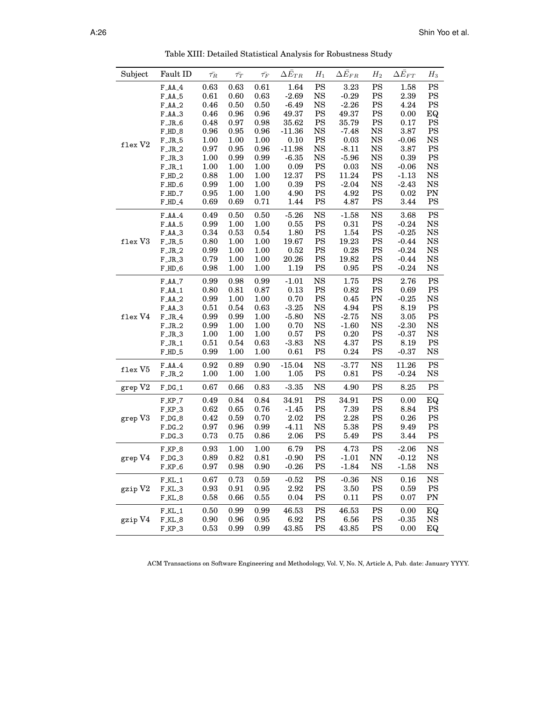| Subject | Fault ID                      | $\bar{\tau_R}$ | $\bar{\tau_T}$ | $\bar{\tau_F}$ | $\Delta\bar{E}_{TR}$ | $H_1$                    | $\Delta \bar{E}_{FR}$ | $H_2$                      | $\Delta\bar{E}_{FT}$                                                                                                                                                                                                                                                                                                                                          | $H_3$                  |
|---------|-------------------------------|----------------|----------------|----------------|----------------------|--------------------------|-----------------------|----------------------------|---------------------------------------------------------------------------------------------------------------------------------------------------------------------------------------------------------------------------------------------------------------------------------------------------------------------------------------------------------------|------------------------|
|         | $F\_AA\_4$                    | 0.63           | 0.63           | 0.61           | 1.64                 | <b>PS</b>                | 3.23                  | $\mathbf{PS}$              |                                                                                                                                                                                                                                                                                                                                                               | <b>PS</b>              |
|         | $F.AA_5$                      | 0.61           | 0.60           | 0.63           | $-2.69$              | <b>NS</b>                | $-0.29$               | $_{\rm PS}$                |                                                                                                                                                                                                                                                                                                                                                               | <b>PS</b>              |
|         | $F\_AA\_2$                    | 0.46           | 0.50           | 0.50           | $-6.49$              | NS                       | $-2.26$               | PS                         |                                                                                                                                                                                                                                                                                                                                                               | PS                     |
|         | $FAA-3$                       | 0.46           | 0.96           | 0.96           | 49.37                | <b>PS</b>                | 49.37                 | $\mathbf{PS}$              |                                                                                                                                                                                                                                                                                                                                                               | EQ                     |
|         | $F_JR_6$                      | 0.48           | 0.97           | 0.98           | 35.62                | PS                       | 35.79                 | PS                         |                                                                                                                                                                                                                                                                                                                                                               | <b>PS</b>              |
|         | $F$ _HD_8                     | 0.96           | 0.95           | 0.96           | $-11.36$             | <b>NS</b>                | $-7.48$               | <b>NS</b>                  |                                                                                                                                                                                                                                                                                                                                                               | <b>PS</b>              |
|         | $F_JR_5$                      | 1.00           | 1.00           | 1.00           | 0.10                 | PS                       | 0.03                  | <b>NS</b>                  |                                                                                                                                                                                                                                                                                                                                                               | <b>NS</b>              |
| flex V2 | $F_JR_2$                      | 0.97           | 0.95           | 0.96           | $-11.98$             | <b>NS</b>                | $-8.11$               | <b>NS</b>                  |                                                                                                                                                                                                                                                                                                                                                               | <b>PS</b>              |
|         | $F_JR_3$                      | 1.00           | 0.99           | 0.99           | $-6.35$              | <b>NS</b>                | $-5.96$               | <b>NS</b>                  |                                                                                                                                                                                                                                                                                                                                                               | <b>PS</b>              |
|         | $F_JR_1$                      | 1.00           | 1.00           | 1.00           | 0.09                 | <b>PS</b>                | 0.03                  | <b>NS</b>                  |                                                                                                                                                                                                                                                                                                                                                               | <b>NS</b>              |
|         | $F$ _HD_2                     | 0.88           | 1.00           | 1.00           | 12.37                | PS                       | 11.24                 | <b>PS</b>                  |                                                                                                                                                                                                                                                                                                                                                               | <b>NS</b>              |
|         | $F_$ HD_6                     | 0.99           | 1.00           | 1.00           | 0.39                 | PS                       | $-2.04$               | <b>NS</b>                  |                                                                                                                                                                                                                                                                                                                                                               | <b>NS</b>              |
|         | F_HD_7                        | 0.95           | 1.00           | 1.00           | 4.90                 | <b>PS</b>                | 4.92                  | <b>PS</b>                  |                                                                                                                                                                                                                                                                                                                                                               | PN                     |
|         | $F$ _HD_4                     | 0.69           | 0.69           | 0.71           | 1.44                 | PS                       | 4.87                  | PS                         |                                                                                                                                                                                                                                                                                                                                                               | <b>PS</b>              |
|         |                               |                |                |                |                      |                          |                       |                            |                                                                                                                                                                                                                                                                                                                                                               |                        |
|         | $FAA-4$                       | 0.49           | 0.50           | 0.50           | $-5.26$              | $_{\rm NS}$<br><b>PS</b> | $-1.58$               | <b>NS</b><br>$\mathbf{PS}$ |                                                                                                                                                                                                                                                                                                                                                               | <b>PS</b><br><b>NS</b> |
|         | F <sub>A</sub> A <sub>5</sub> | 0.99           | 1.00           | 1.00           | 0.55                 |                          | 0.31                  |                            |                                                                                                                                                                                                                                                                                                                                                               |                        |
|         | $F\_AA\_3$                    | 0.34           | 0.53           | 0.54           | 1.80                 | <b>PS</b>                | 1.54                  | <b>PS</b>                  |                                                                                                                                                                                                                                                                                                                                                               | <b>NS</b>              |
| flex V3 | $F_JR_5$                      | $0.80\,$       | 1.00           | 1.00           | 19.67                | PS                       | 19.23                 | PS                         |                                                                                                                                                                                                                                                                                                                                                               | <b>NS</b>              |
|         | $F_JR_2$                      | 0.99           | 1.00           | 1.00           | 0.52                 | PS                       | 0.28                  | $_{\rm PS}$                |                                                                                                                                                                                                                                                                                                                                                               | <b>NS</b>              |
|         | $F_JR_3$                      | 0.79           | 1.00           | 1.00           | 20.26                | PS                       | 19.82                 | PS                         |                                                                                                                                                                                                                                                                                                                                                               | <b>NS</b>              |
|         | $F$ _HD_6                     | 0.98           | 1.00           | 1.00           | 1.19                 | PS                       | 0.95                  | PS                         |                                                                                                                                                                                                                                                                                                                                                               | <b>NS</b>              |
|         | $F$ _AA_7                     | 0.99           | 0.98           | 0.99           | $-1.01$              | <b>NS</b>                | 1.75                  | <b>PS</b>                  | 2.76                                                                                                                                                                                                                                                                                                                                                          | <b>PS</b>              |
|         | $FAA-1$                       | 0.80           | 0.81           | 0.87           | 0.13                 | <b>PS</b>                | 0.82                  | PS                         | 0.69                                                                                                                                                                                                                                                                                                                                                          | <b>PS</b>              |
|         | $FAA-2$                       | 0.99           | 1.00           | 1.00           | 0.70                 | <b>PS</b>                | 0.45                  | PN                         |                                                                                                                                                                                                                                                                                                                                                               | <b>NS</b>              |
|         | $F\_AA\_3$                    | 0.51           | 0.54           | 0.63           | $-3.25$              | $_{\rm NS}$              | 4.94                  | <b>PS</b>                  | 8.19                                                                                                                                                                                                                                                                                                                                                          | <b>PS</b>              |
| flex V4 | $\text{F\_JR\_4}$             | 0.99           | 0.99           | 1.00           | $-5.80$              | <b>NS</b>                | $-2.75$               | $_{\rm NS}$                | 3.05                                                                                                                                                                                                                                                                                                                                                          | PS                     |
|         | $F_JR_2$                      | 0.99           | 1.00           | 1.00           | 0.70                 | <b>NS</b>                | $-1.60$               | $_{\rm NS}$                |                                                                                                                                                                                                                                                                                                                                                               | <b>NS</b>              |
|         | $F_JR_3$                      | 1.00           | 1.00           | 1.00           | 0.57                 | <b>PS</b>                | 0.20                  | <b>PS</b>                  | $-0.37$                                                                                                                                                                                                                                                                                                                                                       | <b>NS</b>              |
|         | $\text{F\_JR\_1}$             | 0.51           | 0.54           | 0.63           | $-3.83$              | <b>NS</b>                | 4.37                  | PS                         |                                                                                                                                                                                                                                                                                                                                                               | PS                     |
|         | $F_$ <sub>-HD</sub> $_5$      | 0.99           | 1.00           | 1.00           | 0.61                 | <b>PS</b>                | 0.24                  | PS                         | $-0.37$                                                                                                                                                                                                                                                                                                                                                       | <b>NS</b>              |
|         | $FAA-4$                       | 0.92           | 0.89           | 0.90           | $-15.04$             | <b>NS</b>                | $-3.77$               | <b>NS</b>                  |                                                                                                                                                                                                                                                                                                                                                               | <b>PS</b>              |
| flex V5 | $\text{F\_JR\_2}$             | 1.00           | 1.00           | 1.00           | 1.05                 | $\mathbf{PS}$            | $\rm 0.81$            | $\mathbf{PS}$              |                                                                                                                                                                                                                                                                                                                                                               | <b>NS</b>              |
| grep V2 | $F\_DG\_1$                    | 0.67           | 0.66           | 0.83           | $-3.35$              | <b>NS</b>                | 4.90                  | $_{\rm PS}$                |                                                                                                                                                                                                                                                                                                                                                               | <b>PS</b>              |
|         |                               |                |                |                |                      |                          |                       |                            |                                                                                                                                                                                                                                                                                                                                                               |                        |
|         | $F_KP_7$                      | 0.49           | 0.84           | 0.84           | 34.91                | PS                       | 34.91                 | $\mathbf{PS}$              |                                                                                                                                                                                                                                                                                                                                                               | EQ                     |
|         | $F_KP_3$                      | 0.62           | 0.65           | 0.76           | $-1.45$              | PS                       | 7.39                  | PS                         |                                                                                                                                                                                                                                                                                                                                                               | <b>PS</b>              |
| grep V3 | $F\_DG\_8$                    | 0.42           | 0.59           | 0.70           | 2.02                 | PS                       | 2.28                  | PS                         |                                                                                                                                                                                                                                                                                                                                                               | <b>PS</b>              |
|         | $F\_DG\_2$                    | 0.97           | 0.96           | 0.99           | $-4.11$              | <b>NS</b>                | 5.38                  | <b>PS</b>                  |                                                                                                                                                                                                                                                                                                                                                               | <b>PS</b>              |
|         | $\texttt{F\_DG\_3}$           | 0.73           | 0.75           | 0.86           | 2.06                 | <b>PS</b>                | 5.49                  | PS                         |                                                                                                                                                                                                                                                                                                                                                               | PS                     |
|         | $F_KP_8$                      | 0.93           | 1.00           | 1.00           | 6.79                 | <b>PS</b>                | 4.73                  | PS                         | $-2.06$                                                                                                                                                                                                                                                                                                                                                       | <b>NS</b>              |
| grep V4 | $F_DG_3$                      | 0.89           | 0.82           | 0.81           | $-0.90$              | PS                       | $-1.01$               | $\mathbf{N} \mathbf{N}$    |                                                                                                                                                                                                                                                                                                                                                               | <b>NS</b>              |
|         | F_KP_6                        | 0.97           | 0.98           | 0.90           | $-0.26$              | PS                       | $-1.84$               | <b>NS</b>                  |                                                                                                                                                                                                                                                                                                                                                               | <b>NS</b>              |
|         | $F_KL_1$                      | 0.67           | 0.73           | 0.59           | $-0.52$              | <b>PS</b>                | $-0.36$               | $_{\rm NS}$                | 0.16                                                                                                                                                                                                                                                                                                                                                          | <b>NS</b>              |
| gzip V2 | F_KL_3                        | 0.93           | $\rm 0.91$     | 0.95           | 2.92                 | PS                       | 3.50                  | <b>PS</b>                  | 0.59                                                                                                                                                                                                                                                                                                                                                          | <b>PS</b>              |
|         | F_KL_8                        | 0.58           | 0.66           | 0.55           | 0.04                 | PS                       | 0.11                  | PS                         | 1.58<br>2.39<br>4.24<br>0.00<br>0.17<br>3.87<br>$-0.06$<br>3.87<br>0.39<br>$-0.06$<br>$-1.13$<br>$-2.43$<br>0.02<br>3.44<br>3.68<br>$-0.24$<br>$-0.25$<br>$-0.44$<br>$-0.24$<br>$-0.44$<br>$-0.24$<br>$-0.25$<br>$-2.30$<br>8.19<br>11.26<br>$-0.24$<br>8.25<br>0.00<br>8.84<br>0.26<br>9.49<br>3.44<br>$-0.12$<br>$-1.58$<br>0.07<br>0.00<br>$-0.35$<br>0.00 | PN                     |
|         | $F_KL_1$                      | 0.50           | 0.99           | 0.99           | 46.53                | PS                       | 46.53                 | ${\rm PS}$                 |                                                                                                                                                                                                                                                                                                                                                               | EQ                     |
| gzip V4 | $F_KL_8$                      | 0.90           | 0.96           | 0.95           | 6.92                 | PS                       | 6.56                  | PS                         |                                                                                                                                                                                                                                                                                                                                                               | <b>NS</b>              |
|         | $F_KP_3$                      | 0.53           | 0.99           | 0.99           | 43.85                | PS                       | 43.85                 | PS                         |                                                                                                                                                                                                                                                                                                                                                               | EQ                     |

Table XIII: Detailed Statistical Analysis for Robustness Study

ACM Transactions on Software Engineering and Methodology, Vol. V, No. N, Article A, Pub. date: January YYYY.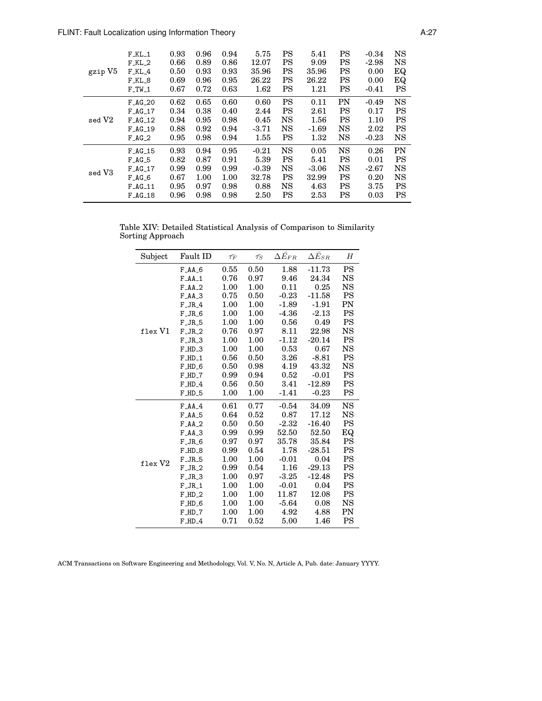| gzip V5 | $F_KL_1$  | 0.93 | 0.96 | 0.94 | 5.75    | <b>PS</b> | 5.41    | PS        | $-0.34$ | <b>NS</b> |
|---------|-----------|------|------|------|---------|-----------|---------|-----------|---------|-----------|
|         | $F_KL_2$  | 0.66 | 0.89 | 0.86 | 12.07   | PS        | 9.09    | PS        | $-2.98$ | <b>NS</b> |
|         | F_KL_4    | 0.50 | 0.93 | 0.93 | 35.96   | PS        | 35.96   | PS        | 0.00    | EQ        |
|         | F_KL_8    | 0.69 | 0.96 | 0.95 | 26.22   | PS        | 26.22   | PS        | 0.00    | EQ        |
|         | $F_TW_1$  | 0.67 | 0.72 | 0.63 | 1.62    | PS        | 1.21    | <b>PS</b> | $-0.41$ | <b>PS</b> |
| sed V2  | $F_AG_2O$ | 0.62 | 0.65 | 0.60 | 0.60    | <b>PS</b> | 0.11    | PN        | $-0.49$ | <b>NS</b> |
|         | $F_AG_17$ | 0.34 | 0.38 | 0.40 | 2.44    | <b>PS</b> | 2.61    | <b>PS</b> | 0.17    | <b>PS</b> |
|         | $F_AG_12$ | 0.94 | 0.95 | 0.98 | 0.45    | <b>NS</b> | 1.56    | <b>PS</b> | 1.10    | PS        |
|         | $F_AG_19$ | 0.88 | 0.92 | 0.94 | $-3.71$ | <b>NS</b> | $-1.69$ | NS        | 2.02    | PS        |
|         | $F_AG_2$  | 0.95 | 0.98 | 0.94 | 1.55    | PS        | 1.32    | <b>NS</b> | $-0.23$ | <b>NS</b> |
| sed V3  | $F_AG_15$ | 0.93 | 0.94 | 0.95 | $-0.21$ | <b>NS</b> | 0.05    | <b>NS</b> | 0.26    | PN        |
|         | $F_A G_5$ | 0.82 | 0.87 | 0.91 | 5.39    | PS        | 5.41    | <b>PS</b> | 0.01    | <b>PS</b> |
|         | $F_AG_17$ | 0.99 | 0.99 | 0.99 | $-0.39$ | <b>NS</b> | $-3.06$ | <b>NS</b> | $-2.67$ | <b>NS</b> |
|         | $F_A G_6$ | 0.67 | 1.00 | 1.00 | 32.78   | PS        | 32.99   | <b>PS</b> | 0.20    | <b>NS</b> |
|         | $F_AG_11$ | 0.95 | 0.97 | 0.98 | 0.88    | <b>NS</b> | 4.63    | PS        | 3.75    | PS        |
|         | $F_AG_18$ | 0.96 | 0.98 | 0.98 | 2.50    | PS        | 2.53    | PS        | 0.03    | PS        |

Table XIV: Detailed Statistical Analysis of Comparison to Similarity Sorting Approach

| Subject | Fault ID                      | $\bar{\tau_F}$ | $\bar{\tau_S}$ | $\Delta \bar{E}_{FR}$ | $\Delta \bar{E}_{SR}$ | H         |
|---------|-------------------------------|----------------|----------------|-----------------------|-----------------------|-----------|
|         | F <sub>A</sub> A <sub>6</sub> | 0.55           | 0.50           | 1.88                  | $-11.73$              | PS        |
|         | $F$ $AA$ <sub>-1</sub>        | 0.76           | 0.97           | 9.46                  | 24.34                 | <b>NS</b> |
|         | $FAA-2$                       | 1.00           | 1.00           | 0.11                  | 0.25                  | NS        |
|         | $FAA-3$                       | 0.75           | 0.50           | $-0.23$               | $-11.58$              | <b>PS</b> |
|         | $F_JR_4$                      | 1.00           | 1.00           | $-1.89$               | $-1.91$               | PN        |
|         | $F_JR_6$                      | 1.00           | 1.00           | $-4.36$               | $-2.13$               | <b>PS</b> |
|         | $F_JR_5$                      | 1.00           | 1.00           | 0.56                  | 0.49                  | <b>PS</b> |
| flex V1 | $F_JR_2$                      | 0.76           | 0.97           | 8.11                  | 22.98                 | NS        |
|         | $F_JR_3$                      | 1.00           | 1.00           | $-1.12$               | $-20.14$              | <b>PS</b> |
|         | $F$ _HD_3                     | 1.00           | 1.00           | 0.53                  | 0.67                  | NS        |
|         | $F$ _HD_1                     | 0.56           | 0.50           | 3.26                  | $-8.81$               | <b>PS</b> |
|         | $F$ _HD_6                     | 0.50           | 0.98           | 4.19                  | 43.32                 | <b>NS</b> |
|         | $F$ _HD_7                     | 0.99           | 0.94           | 0.52                  | $-0.01$               | <b>PS</b> |
|         | $F$ _HD_4                     | 0.56           | 0.50           | 3.41                  | $-12.89$              | PS        |
|         | $F$ _HD_5                     | 1.00           | 1.00           | $-1.41$               | $-0.23$               | PS        |
|         | $FAA-4$                       | 0.61           | 0.77           | $-0.54$               | 34.09                 | <b>NS</b> |
|         | $F$ $AA$ <sub>5</sub>         | 0.64           | 0.52           | 0.87                  | 17.12                 | <b>NS</b> |
|         | $FAA-2$                       | 0.50           | 0.50           | $-2.32$               | $-16.40$              | PS        |
|         | $FAA-3$                       | 0.99           | 0.99           | 52.50                 | 52.50                 | EQ        |
|         | $F_JR_6$                      | 0.97           | 0.97           | 35.78                 | 35.84                 | <b>PS</b> |
|         | $F$ _HD_8                     | 0.99           | 0.54           | 1.78                  | $-28.51$              | PS        |
| flex V2 | $F_JR_5$                      | 1.00           | 1.00           | $-0.01$               | 0.04                  | PS        |
|         | $F_JR_2$                      | 0.99           | 0.54           | 1.16                  | $-29.13$              | PS        |
|         | $F_JR_3$                      | 1.00           | 0.97           | $-3.25$               | $-12.48$              | <b>PS</b> |
|         | $F_JR_1$                      | 1.00           | 1.00           | $-0.01$               | 0.04                  | PS        |
|         | $F$ _HD_2                     | 1.00           | 1.00           | 11.87                 | 12.08                 | PS        |
|         | $F$ _HD_6                     | 1.00           | 1.00           | $-5.64$               | 0.08                  | NS        |
|         | $F$ _HD_7                     | 1.00           | 1.00           | 4.92                  | 4.88                  | PN        |
|         | $F$ _HD_4                     | 0.71           | 0.52           | 5.00                  | 1.46                  | PS        |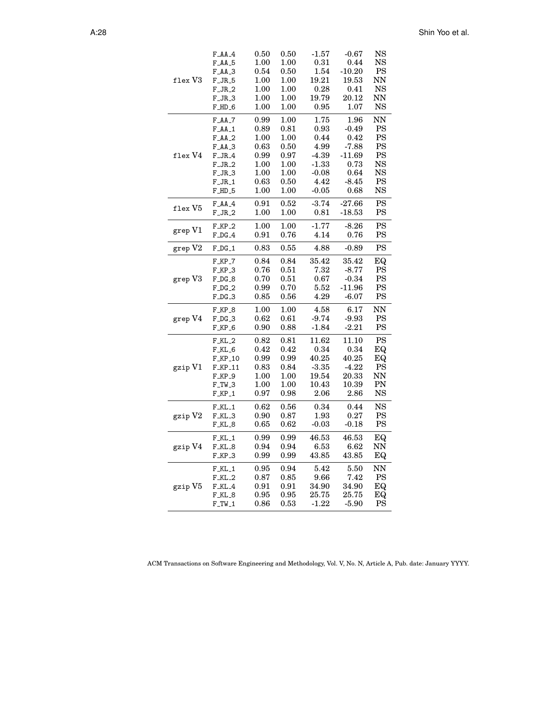|                            | $F\_AA\_4$                    | 0.50     | 0.50 | $-1.57$ | $-0.67$   | NS        |
|----------------------------|-------------------------------|----------|------|---------|-----------|-----------|
|                            | F <sub>A</sub> A <sub>5</sub> | 1.00     | 1.00 | 0.31    | 0.44      | NS        |
|                            | $F\_AA\_3$                    | 0.54     | 0.50 | 1.54    | $-10.20$  | PS        |
| $f$ lex $V3$               | $F_JR_5$                      | $1.00\,$ | 1.00 | 19.21   | 19.53     | NN        |
|                            | $F_JR_2$                      | 1.00     | 1.00 | 0.28    | 0.41      | <b>NS</b> |
|                            | $F_JR_3$                      | 1.00     | 1.00 | 19.79   | $20.12\,$ | NN        |
|                            | $F$ _HD_6                     | 1.00     | 1.00 | 0.95    | 1.07      | NS        |
|                            | $F\_AA_-7$                    | 0.99     | 1.00 | 1.75    | 1.96      | NN        |
|                            | $F\_AA\_1$                    | 0.89     | 0.81 | 0.93    | $-0.49$   | PS        |
|                            | F <sub>A</sub> A <sub>2</sub> | 1.00     | 1.00 | 0.44    | 0.42      | <b>PS</b> |
|                            | $F\_AA\_3$                    | 0.63     | 0.50 | 4.99    | $-7.88$   | PS        |
| $f$ lex $V4$               | $F_JR_4$                      | 0.99     | 0.97 | $-4.39$ | $-11.69$  | PS        |
|                            | $F_JR_2$                      | 1.00     | 1.00 | $-1.33$ | 0.73      | NS        |
|                            | $F_JR_3$                      | 1.00     | 1.00 | $-0.08$ | 0.64      | NS        |
|                            | $F_JR_1$                      | 0.63     | 0.50 | 4.42    | $-8.45$   | PS        |
|                            | $F$ _HD_5                     | $1.00\,$ | 1.00 | $-0.05$ | 0.68      | <b>NS</b> |
| $_{\rm flex}$ V $_{\rm 5}$ | $F\_AA\_4$                    | 0.91     | 0.52 | $-3.74$ | $-27.66$  | PS        |
|                            | $F_JR_2$                      | 1.00     | 1.00 | 0.81    | $-18.53$  | PS        |
|                            | $F_KP_2$                      | 1.00     | 1.00 | $-1.77$ | $-8.26$   | PS        |
| grep V1                    | $F\_DG\_4$                    | 0.91     | 0.76 | 4.14    | 0.76      | PS        |
| grep V2                    | $F\_DG\_1$                    | 0.83     | 0.55 | 4.88    | $-0.89$   | PS        |
|                            | $F_KP_7$                      | 0.84     | 0.84 | 35.42   | 35.42     | ΕQ        |
|                            | $F_KP_3$                      | 0.76     | 0.51 | 7.32    | $-8.77$   | PS        |
| grep V3                    | $F\_DG\_8$                    | 0.70     | 0.51 | 0.67    | $-0.34$   | PS        |
|                            | $F\_DG\_2$                    | 0.99     | 0.70 | 5.52    | $-11.96$  | PS        |
|                            | $F\_DG\_3$                    | 0.85     | 0.56 | 4.29    | $-6.07$   | PS        |
|                            | $F_KP_8$                      | 1.00     | 1.00 | 4.58    | 6.17      | NN        |
| grep V4                    | $F\_DG\_3$                    | 0.62     | 0.61 | $-9.74$ | $-9.93$   | PS        |
|                            | $F_KP_6$                      | 0.90     | 0.88 | $-1.84$ | $-2.21$   | PS        |
|                            | $F_KL_2$                      | 0.82     | 0.81 | 11.62   | 11.10     | PS        |
|                            | $F_KL_6$                      | 0.42     | 0.42 | 0.34    | 0.34      | EQ        |
|                            | $F_KP_10$                     | 0.99     | 0.99 | 40.25   | 40.25     | EQ        |
| gzip V1                    | F_KP_11                       | 0.83     | 0.84 | $-3.35$ | $-4.22$   | PS        |
|                            | $F_KP_9$                      | 1.00     | 1.00 | 19.54   | 20.33     | NN        |
|                            | $F_TW_3$                      | 1.00     | 1.00 | 10.43   | 10.39     | PN        |
|                            | $F_KP_1$                      | 0.97     | 0.98 | 2.06    | 2.86      | NS        |
|                            | $F_KL_1$                      | 0.62     | 0.56 | 0.34    | 0.44      | NS        |
| gzip V2                    | $F_KL_3$                      | 0.90     | 0.87 | 1.93    | 0.27      | PS        |
|                            | F_KL_8                        | 0.65     | 0.62 | $-0.03$ | $-0.18$   | PS        |
|                            | $F_KL_1$                      | 0.99     | 0.99 | 46.53   | 46.53     | EQ        |
| gzip V4                    | F_KL_8                        | 0.94     | 0.94 | 6.53    | 6.62      | NN        |
|                            | F_KP_3                        | 0.99     | 0.99 | 43.85   | 43.85     | EQ        |
|                            | $F_KL_1$                      | 0.95     | 0.94 | 5.42    | 5.50      | NN        |
|                            | $F_KL_2$                      | 0.87     | 0.85 | 9.66    | 7.42      | PS        |
| gzip V5                    | $F_KL_4$                      | 0.91     | 0.91 | 34.90   | 34.90     | EQ        |
|                            | F_KL_8                        | 0.95     | 0.95 | 25.75   | 25.75     | ΕQ        |
|                            | $F_TW_1$                      | 0.86     | 0.53 | $-1.22$ | $-5.90$   | PS        |